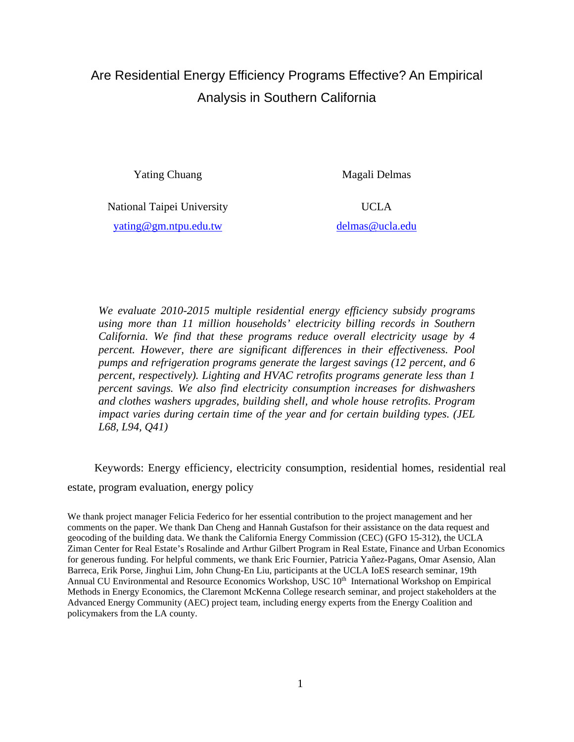# Are Residential Energy Efficiency Programs Effective? An Empirical Analysis in Southern California

Yating Chuang Magali Delmas

National Taipei University [yating@gm.ntpu.edu.tw](mailto:yating@gm.ntpu.edu.tw)

UCLA [delmas@ucla.edu](mailto:delmas@ucla.edu)

*We evaluate 2010-2015 multiple residential energy efficiency subsidy programs using more than 11 million households' electricity billing records in Southern California. We find that these programs reduce overall electricity usage by 4 percent. However, there are significant differences in their effectiveness. Pool pumps and refrigeration programs generate the largest savings (12 percent, and 6 percent, respectively). Lighting and HVAC retrofits programs generate less than 1 percent savings. We also find electricity consumption increases for dishwashers and clothes washers upgrades, building shell, and whole house retrofits. Program impact varies during certain time of the year and for certain building types. (JEL L68, L94, Q41)*

Keywords: Energy efficiency, electricity consumption, residential homes, residential real

estate, program evaluation, energy policy

We thank project manager Felicia Federico for her essential contribution to the project management and her comments on the paper. We thank Dan Cheng and Hannah Gustafson for their assistance on the data request and geocoding of the building data. We thank the California Energy Commission (CEC) (GFO 15-312), the UCLA Ziman Center for Real Estate's Rosalinde and Arthur Gilbert Program in Real Estate, Finance and Urban Economics for generous funding. For helpful comments, we thank Eric Fournier, Patricia Yañez-Pagans, Omar Asensio, Alan Barreca, Erik Porse, Jinghui Lim, John Chung-En Liu, participants at the UCLA IoES research seminar, 19th Annual CU Environmental and Resource Economics Workshop, USC 10<sup>th</sup> International Workshop on Empirical Methods in Energy Economics, the Claremont McKenna College research seminar, and project stakeholders at the Advanced Energy Community (AEC) project team, including energy experts from the Energy Coalition and policymakers from the LA county.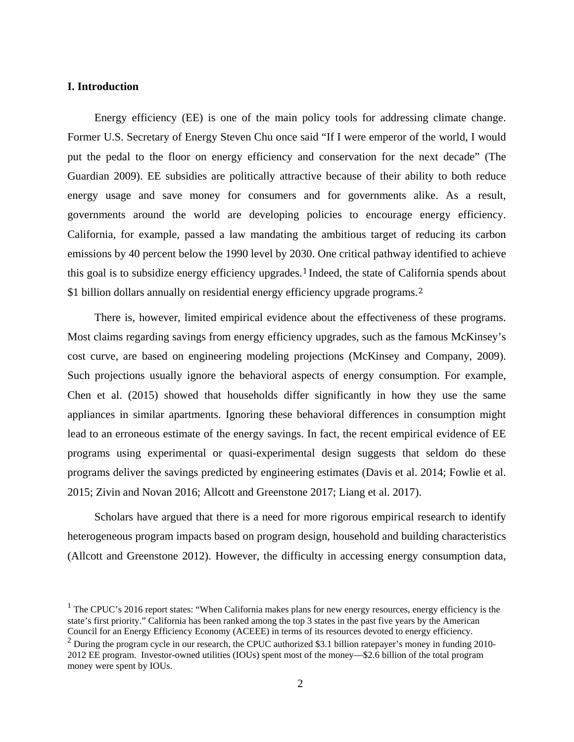#### **I. Introduction**

Energy efficiency (EE) is one of the main policy tools for addressing climate change. Former U.S. Secretary of Energy Steven Chu once said "If I were emperor of the world, I would put the pedal to the floor on energy efficiency and conservation for the next decade" (The Guardian 2009). EE subsidies are politically attractive because of their ability to both reduce energy usage and save money for consumers and for governments alike. As a result, governments around the world are developing policies to encourage energy efficiency. California, for example, passed a law mandating the ambitious target of reducing its carbon emissions by 40 percent below the 1990 level by 2030. One critical pathway identified to achieve this goal is to subsidize energy efficiency upgrades.[1](#page-1-0) Indeed, the state of California spends about \$1 billion dollars annually on residential energy efficiency upgrade programs.<sup>[2](#page-1-1)</sup>

There is, however, limited empirical evidence about the effectiveness of these programs. Most claims regarding savings from energy efficiency upgrades, such as the famous McKinsey's cost curve, are based on engineering modeling projections (McKinsey and Company, 2009). Such projections usually ignore the behavioral aspects of energy consumption. For example, Chen et al. (2015) showed that households differ significantly in how they use the same appliances in similar apartments. Ignoring these behavioral differences in consumption might lead to an erroneous estimate of the energy savings. In fact, the recent empirical evidence of EE programs using experimental or quasi-experimental design suggests that seldom do these programs deliver the savings predicted by engineering estimates (Davis et al. 2014; Fowlie et al. 2015; Zivin and Novan 2016; Allcott and Greenstone 2017; Liang et al. 2017).

Scholars have argued that there is a need for more rigorous empirical research to identify heterogeneous program impacts based on program design, household and building characteristics (Allcott and Greenstone 2012). However, the difficulty in accessing energy consumption data,

<span id="page-1-0"></span> $1$  The CPUC's 2016 report states: "When California makes plans for new energy resources, energy efficiency is the state's first priority." California has been ranked among the top 3 states in the past five years by the American Council for an Energy Efficiency Economy (ACEEE) in terms of its resources devoted to energy efficiency.

<span id="page-1-1"></span> $2$  During the program cycle in our research, the CPUC authorized \$3.1 billion ratepayer's money in funding 2010-2012 EE program. Investor-owned utilities (IOUs) spent most of the money—\$2.6 billion of the total program money were spent by IOUs.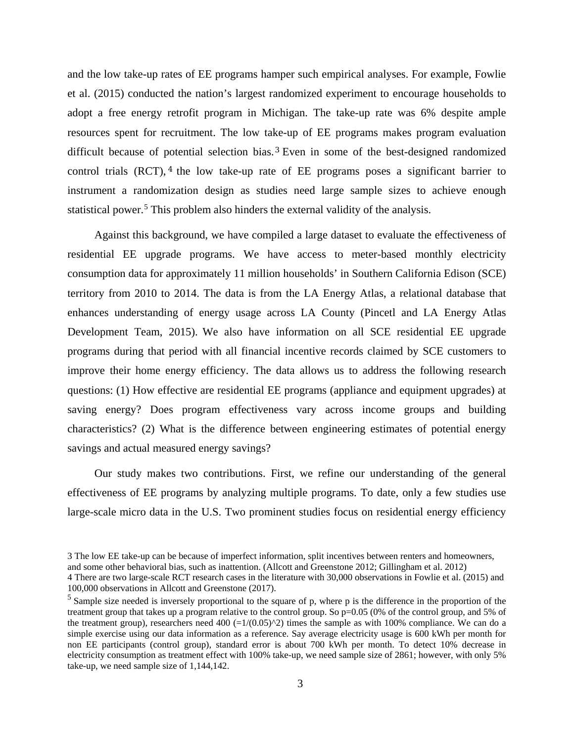and the low take-up rates of EE programs hamper such empirical analyses. For example, Fowlie et al. (2015) conducted the nation's largest randomized experiment to encourage households to adopt a free energy retrofit program in Michigan. The take-up rate was 6% despite ample resources spent for recruitment. The low take-up of EE programs makes program evaluation difficult because of potential selection bias.<sup>[3](#page-2-0)</sup> Even in some of the best-designed randomized control trials  $(RCT)$ , <sup>[4](#page-2-1)</sup> the low take-up rate of EE programs poses a significant barrier to instrument a randomization design as studies need large sample sizes to achieve enough statistical power. [5](#page-2-2) This problem also hinders the external validity of the analysis.

Against this background, we have compiled a large dataset to evaluate the effectiveness of residential EE upgrade programs. We have access to meter-based monthly electricity consumption data for approximately 11 million households' in Southern California Edison (SCE) territory from 2010 to 2014. The data is from the LA Energy Atlas, a relational database that enhances understanding of energy usage across LA County (Pincetl and LA Energy Atlas Development Team, 2015). We also have information on all SCE residential EE upgrade programs during that period with all financial incentive records claimed by SCE customers to improve their home energy efficiency. The data allows us to address the following research questions: (1) How effective are residential EE programs (appliance and equipment upgrades) at saving energy? Does program effectiveness vary across income groups and building characteristics? (2) What is the difference between engineering estimates of potential energy savings and actual measured energy savings?

Our study makes two contributions. First, we refine our understanding of the general effectiveness of EE programs by analyzing multiple programs. To date, only a few studies use large-scale micro data in the U.S. Two prominent studies focus on residential energy efficiency

<span id="page-2-0"></span><sup>3</sup> The low EE take-up can be because of imperfect information, split incentives between renters and homeowners, and some other behavioral bias, such as inattention. (Allcott and Greenstone 2012; Gillingham et al. 2012)

<span id="page-2-1"></span><sup>4</sup> There are two large-scale RCT research cases in the literature with 30,000 observations in Fowlie et al. (2015) and 100,000 observations in Allcott and Greenstone (2017).

<span id="page-2-2"></span> $5$  Sample size needed is inversely proportional to the square of p, where p is the difference in the proportion of the treatment group that takes up a program relative to the control group. So p=0.05 (0% of the control group, and 5% of the treatment group), researchers need  $400$  (=1/(0.05) $^{\circ}$ 2) times the sample as with 100% compliance. We can do a simple exercise using our data information as a reference. Say average electricity usage is 600 kWh per month for non EE participants (control group), standard error is about 700 kWh per month. To detect 10% decrease in electricity consumption as treatment effect with 100% take-up, we need sample size of 2861; however, with only 5% take-up, we need sample size of 1,144,142.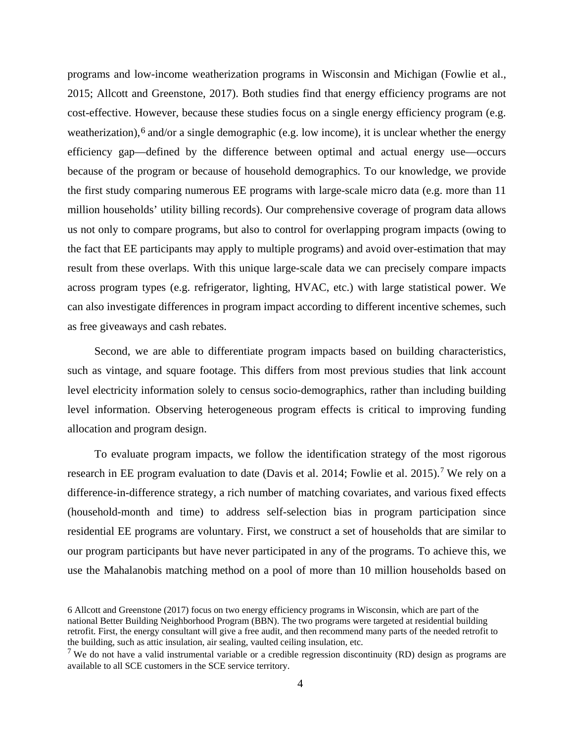programs and low-income weatherization programs in Wisconsin and Michigan (Fowlie et al., 2015; Allcott and Greenstone, 2017). Both studies find that energy efficiency programs are not cost-effective. However, because these studies focus on a single energy efficiency program (e.g. weatherization), $6$  and/or a single demographic (e.g. low income), it is unclear whether the energy efficiency gap—defined by the difference between optimal and actual energy use—occurs because of the program or because of household demographics. To our knowledge, we provide the first study comparing numerous EE programs with large-scale micro data (e.g. more than 11 million households' utility billing records). Our comprehensive coverage of program data allows us not only to compare programs, but also to control for overlapping program impacts (owing to the fact that EE participants may apply to multiple programs) and avoid over-estimation that may result from these overlaps. With this unique large-scale data we can precisely compare impacts across program types (e.g. refrigerator, lighting, HVAC, etc.) with large statistical power. We can also investigate differences in program impact according to different incentive schemes, such as free giveaways and cash rebates.

Second, we are able to differentiate program impacts based on building characteristics, such as vintage, and square footage. This differs from most previous studies that link account level electricity information solely to census socio-demographics, rather than including building level information. Observing heterogeneous program effects is critical to improving funding allocation and program design.

To evaluate program impacts, we follow the identification strategy of the most rigorous research in EE program evaluation to date (Davis et al. 2014; Fowlie et al. 2015).<sup>[7](#page-3-1)</sup> We rely on a difference-in-difference strategy, a rich number of matching covariates, and various fixed effects (household-month and time) to address self-selection bias in program participation since residential EE programs are voluntary. First, we construct a set of households that are similar to our program participants but have never participated in any of the programs. To achieve this, we use the Mahalanobis matching method on a pool of more than 10 million households based on

<span id="page-3-0"></span><sup>6</sup> Allcott and Greenstone (2017) focus on two energy efficiency programs in Wisconsin, which are part of the national Better Building Neighborhood Program (BBN). The two programs were targeted at residential building retrofit. First, the energy consultant will give a free audit, and then recommend many parts of the needed retrofit to the building, such as attic insulation, air sealing, vaulted ceiling insulation, etc.

<span id="page-3-1"></span> $7$  We do not have a valid instrumental variable or a credible regression discontinuity (RD) design as programs are available to all SCE customers in the SCE service territory.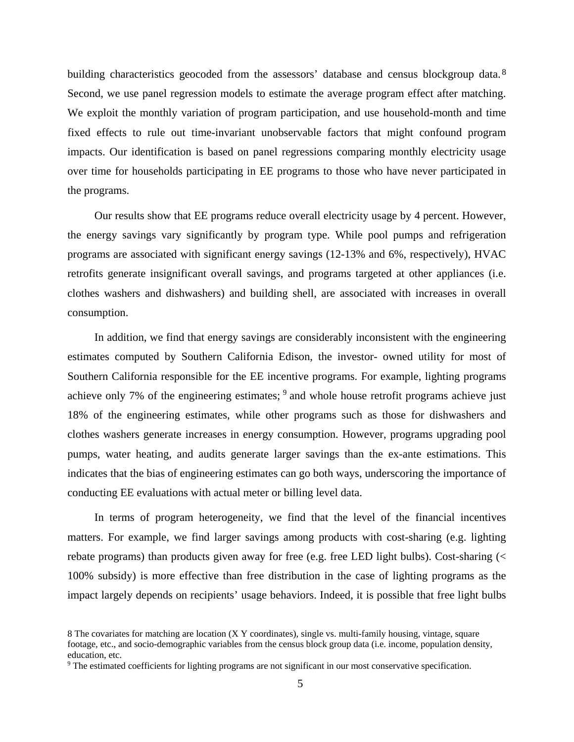building characteristics geocoded from the assessors' database and census blockgroup data.<sup>[8](#page-4-0)</sup> Second, we use panel regression models to estimate the average program effect after matching. We exploit the monthly variation of program participation, and use household-month and time fixed effects to rule out time-invariant unobservable factors that might confound program impacts. Our identification is based on panel regressions comparing monthly electricity usage over time for households participating in EE programs to those who have never participated in the programs.

Our results show that EE programs reduce overall electricity usage by 4 percent. However, the energy savings vary significantly by program type. While pool pumps and refrigeration programs are associated with significant energy savings (12-13% and 6%, respectively), HVAC retrofits generate insignificant overall savings, and programs targeted at other appliances (i.e. clothes washers and dishwashers) and building shell, are associated with increases in overall consumption.

In addition, we find that energy savings are considerably inconsistent with the engineering estimates computed by Southern California Edison, the investor- owned utility for most of Southern California responsible for the EE incentive programs. For example, lighting programs achieve only 7% of the engineering estimates;  $9$  and whole house retrofit programs achieve just 18% of the engineering estimates, while other programs such as those for dishwashers and clothes washers generate increases in energy consumption. However, programs upgrading pool pumps, water heating, and audits generate larger savings than the ex-ante estimations. This indicates that the bias of engineering estimates can go both ways, underscoring the importance of conducting EE evaluations with actual meter or billing level data.

In terms of program heterogeneity, we find that the level of the financial incentives matters. For example, we find larger savings among products with cost-sharing (e.g. lighting rebate programs) than products given away for free (e.g. free LED light bulbs). Cost-sharing (< 100% subsidy) is more effective than free distribution in the case of lighting programs as the impact largely depends on recipients' usage behaviors. Indeed, it is possible that free light bulbs

<span id="page-4-0"></span><sup>8</sup> The covariates for matching are location (X Y coordinates), single vs. multi-family housing, vintage, square footage, etc., and socio-demographic variables from the census block group data (i.e. income, population density, education, etc.

<span id="page-4-1"></span><sup>9</sup> The estimated coefficients for lighting programs are not significant in our most conservative specification.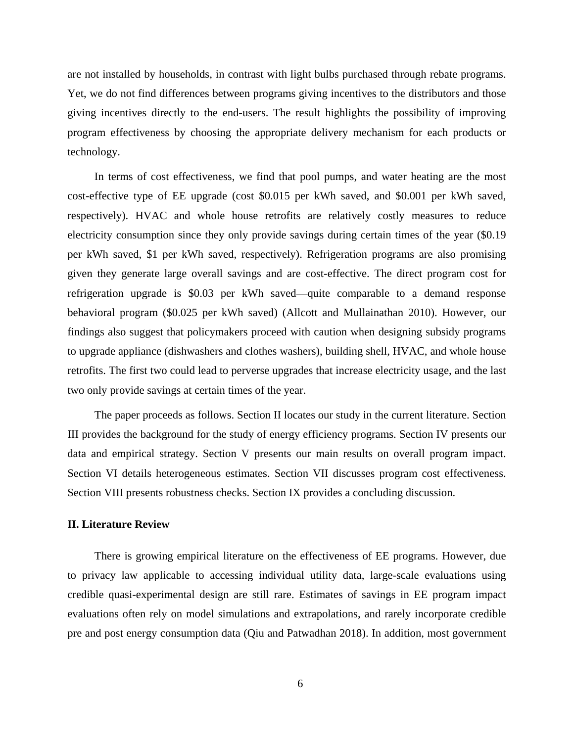are not installed by households, in contrast with light bulbs purchased through rebate programs. Yet, we do not find differences between programs giving incentives to the distributors and those giving incentives directly to the end-users. The result highlights the possibility of improving program effectiveness by choosing the appropriate delivery mechanism for each products or technology.

In terms of cost effectiveness, we find that pool pumps, and water heating are the most cost-effective type of EE upgrade (cost \$0.015 per kWh saved, and \$0.001 per kWh saved, respectively). HVAC and whole house retrofits are relatively costly measures to reduce electricity consumption since they only provide savings during certain times of the year (\$0.19 per kWh saved, \$1 per kWh saved, respectively). Refrigeration programs are also promising given they generate large overall savings and are cost-effective. The direct program cost for refrigeration upgrade is \$0.03 per kWh saved—quite comparable to a demand response behavioral program (\$0.025 per kWh saved) (Allcott and Mullainathan 2010). However, our findings also suggest that policymakers proceed with caution when designing subsidy programs to upgrade appliance (dishwashers and clothes washers), building shell, HVAC, and whole house retrofits. The first two could lead to perverse upgrades that increase electricity usage, and the last two only provide savings at certain times of the year.

The paper proceeds as follows. Section II locates our study in the current literature. Section III provides the background for the study of energy efficiency programs. Section IV presents our data and empirical strategy. Section V presents our main results on overall program impact. Section VI details heterogeneous estimates. Section VII discusses program cost effectiveness. Section VIII presents robustness checks. Section IX provides a concluding discussion.

#### **II. Literature Review**

There is growing empirical literature on the effectiveness of EE programs. However, due to privacy law applicable to accessing individual utility data, large-scale evaluations using credible quasi-experimental design are still rare. Estimates of savings in EE program impact evaluations often rely on model simulations and extrapolations, and rarely incorporate credible pre and post energy consumption data (Qiu and Patwadhan 2018). In addition, most government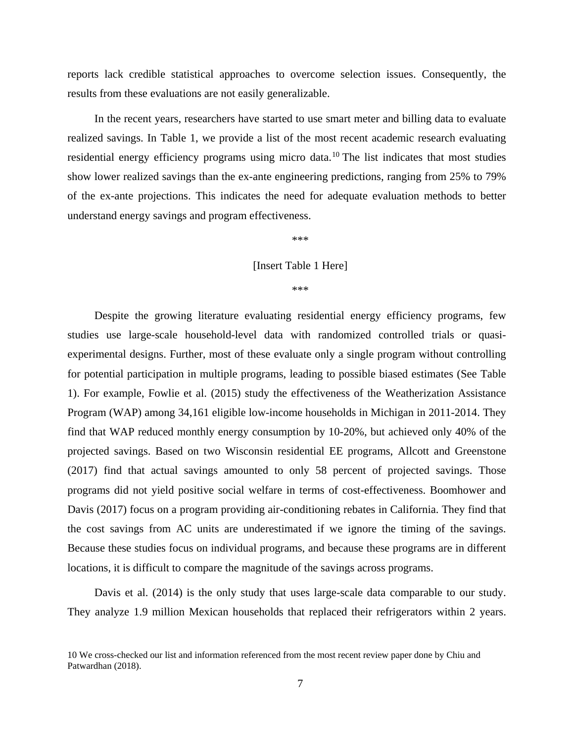reports lack credible statistical approaches to overcome selection issues. Consequently, the results from these evaluations are not easily generalizable.

In the recent years, researchers have started to use smart meter and billing data to evaluate realized savings. In Table 1, we provide a list of the most recent academic research evaluating residential energy efficiency programs using micro data.<sup>[10](#page-6-0)</sup> The list indicates that most studies show lower realized savings than the ex-ante engineering predictions, ranging from 25% to 79% of the ex-ante projections. This indicates the need for adequate evaluation methods to better understand energy savings and program effectiveness.

\*\*\*

#### [Insert Table 1 Here]

\*\*\*

Despite the growing literature evaluating residential energy efficiency programs, few studies use large-scale household-level data with randomized controlled trials or quasiexperimental designs. Further, most of these evaluate only a single program without controlling for potential participation in multiple programs, leading to possible biased estimates (See Table 1). For example, Fowlie et al. (2015) study the effectiveness of the Weatherization Assistance Program (WAP) among 34,161 eligible low-income households in Michigan in 2011-2014. They find that WAP reduced monthly energy consumption by 10-20%, but achieved only 40% of the projected savings. Based on two Wisconsin residential EE programs, Allcott and Greenstone (2017) find that actual savings amounted to only 58 percent of projected savings. Those programs did not yield positive social welfare in terms of cost-effectiveness. Boomhower and Davis (2017) focus on a program providing air-conditioning rebates in California. They find that the cost savings from AC units are underestimated if we ignore the timing of the savings. Because these studies focus on individual programs, and because these programs are in different locations, it is difficult to compare the magnitude of the savings across programs.

Davis et al. (2014) is the only study that uses large-scale data comparable to our study. They analyze 1.9 million Mexican households that replaced their refrigerators within 2 years.

<span id="page-6-0"></span><sup>10</sup> We cross-checked our list and information referenced from the most recent review paper done by Chiu and Patwardhan (2018).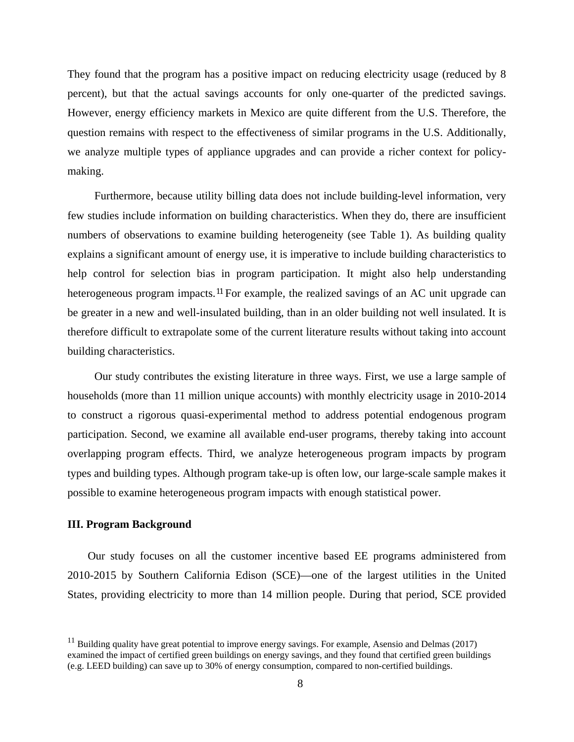They found that the program has a positive impact on reducing electricity usage (reduced by 8 percent), but that the actual savings accounts for only one-quarter of the predicted savings. However, energy efficiency markets in Mexico are quite different from the U.S. Therefore, the question remains with respect to the effectiveness of similar programs in the U.S. Additionally, we analyze multiple types of appliance upgrades and can provide a richer context for policymaking.

Furthermore, because utility billing data does not include building-level information, very few studies include information on building characteristics. When they do, there are insufficient numbers of observations to examine building heterogeneity (see Table 1). As building quality explains a significant amount of energy use, it is imperative to include building characteristics to help control for selection bias in program participation. It might also help understanding heterogeneous program impacts.<sup>[11](#page-7-0)</sup> For example, the realized savings of an AC unit upgrade can be greater in a new and well-insulated building, than in an older building not well insulated. It is therefore difficult to extrapolate some of the current literature results without taking into account building characteristics.

Our study contributes the existing literature in three ways. First, we use a large sample of households (more than 11 million unique accounts) with monthly electricity usage in 2010-2014 to construct a rigorous quasi-experimental method to address potential endogenous program participation. Second, we examine all available end-user programs, thereby taking into account overlapping program effects. Third, we analyze heterogeneous program impacts by program types and building types. Although program take-up is often low, our large-scale sample makes it possible to examine heterogeneous program impacts with enough statistical power.

## **III. Program Background**

Our study focuses on all the customer incentive based EE programs administered from 2010-2015 by Southern California Edison (SCE)—one of the largest utilities in the United States, providing electricity to more than 14 million people. During that period, SCE provided

<span id="page-7-0"></span> $11$  Building quality have great potential to improve energy savings. For example, Asensio and Delmas (2017) examined the impact of certified green buildings on energy savings, and they found that certified green buildings (e.g. LEED building) can save up to 30% of energy consumption, compared to non-certified buildings.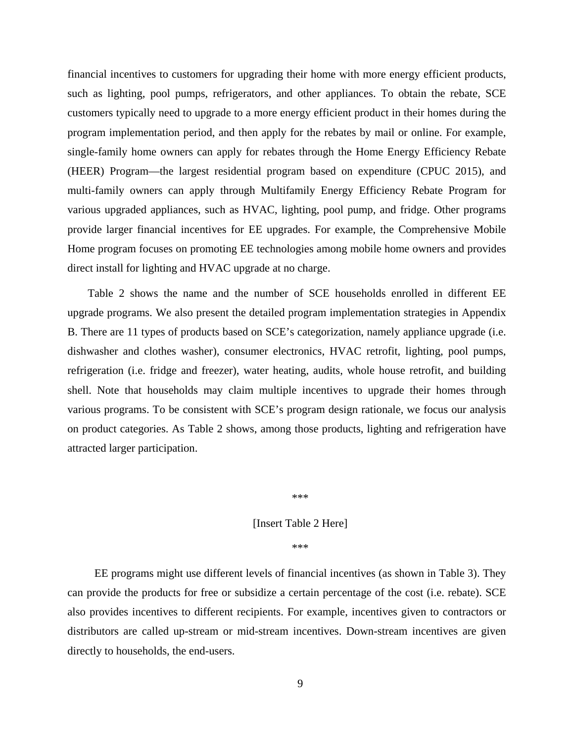financial incentives to customers for upgrading their home with more energy efficient products, such as lighting, pool pumps, refrigerators, and other appliances. To obtain the rebate, SCE customers typically need to upgrade to a more energy efficient product in their homes during the program implementation period, and then apply for the rebates by mail or online. For example, single-family home owners can apply for rebates through the Home Energy Efficiency Rebate (HEER) Program—the largest residential program based on expenditure (CPUC 2015), and multi-family owners can apply through Multifamily Energy Efficiency Rebate Program for various upgraded appliances, such as HVAC, lighting, pool pump, and fridge. Other programs provide larger financial incentives for EE upgrades. For example, the Comprehensive Mobile Home program focuses on promoting EE technologies among mobile home owners and provides direct install for lighting and HVAC upgrade at no charge.

Table 2 shows the name and the number of SCE households enrolled in different EE upgrade programs. We also present the detailed program implementation strategies in Appendix B. There are 11 types of products based on SCE's categorization, namely appliance upgrade (i.e. dishwasher and clothes washer), consumer electronics, HVAC retrofit, lighting, pool pumps, refrigeration (i.e. fridge and freezer), water heating, audits, whole house retrofit, and building shell. Note that households may claim multiple incentives to upgrade their homes through various programs. To be consistent with SCE's program design rationale, we focus our analysis on product categories. As Table 2 shows, among those products, lighting and refrigeration have attracted larger participation.

\*\*\*

## [Insert Table 2 Here]

\*\*\*

EE programs might use different levels of financial incentives (as shown in Table 3). They can provide the products for free or subsidize a certain percentage of the cost (i.e. rebate). SCE also provides incentives to different recipients. For example, incentives given to contractors or distributors are called up-stream or mid-stream incentives. Down-stream incentives are given directly to households, the end-users.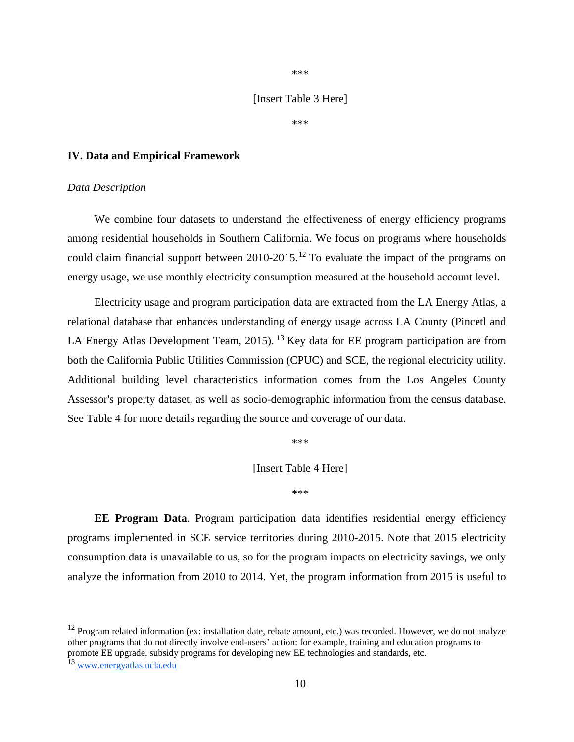## [Insert Table 3 Here]

\*\*\*

\*\*\*

#### **IV. Data and Empirical Framework**

#### *Data Description*

We combine four datasets to understand the effectiveness of energy efficiency programs among residential households in Southern California. We focus on programs where households could claim financial support between 2010-2015.<sup>[12](#page-9-0)</sup> To evaluate the impact of the programs on energy usage, we use monthly electricity consumption measured at the household account level.

Electricity usage and program participation data are extracted from the LA Energy Atlas, a relational database that enhances understanding of energy usage across LA County (Pincetl and LA Energy Atlas Development Team, 2015). <sup>[13](#page-9-1)</sup> Key data for EE program participation are from both the California Public Utilities Commission (CPUC) and SCE, the regional electricity utility. Additional building level characteristics information comes from the Los Angeles County Assessor's property dataset, as well as socio-demographic information from the census database. See Table 4 for more details regarding the source and coverage of our data.

\*\*\*

[Insert Table 4 Here]

\*\*\*

**EE Program Data**. Program participation data identifies residential energy efficiency programs implemented in SCE service territories during 2010-2015. Note that 2015 electricity consumption data is unavailable to us, so for the program impacts on electricity savings, we only analyze the information from 2010 to 2014. Yet, the program information from 2015 is useful to

<span id="page-9-0"></span> $12$  Program related information (ex: installation date, rebate amount, etc.) was recorded. However, we do not analyze other programs that do not directly involve end-users' action: for example, training and education programs to promote EE upgrade, subsidy programs for developing new EE technologies and standards, etc.

<span id="page-9-1"></span><sup>13</sup> [www.energyatlas.ucla.edu](http://www.energyatlas.ucla.edu/)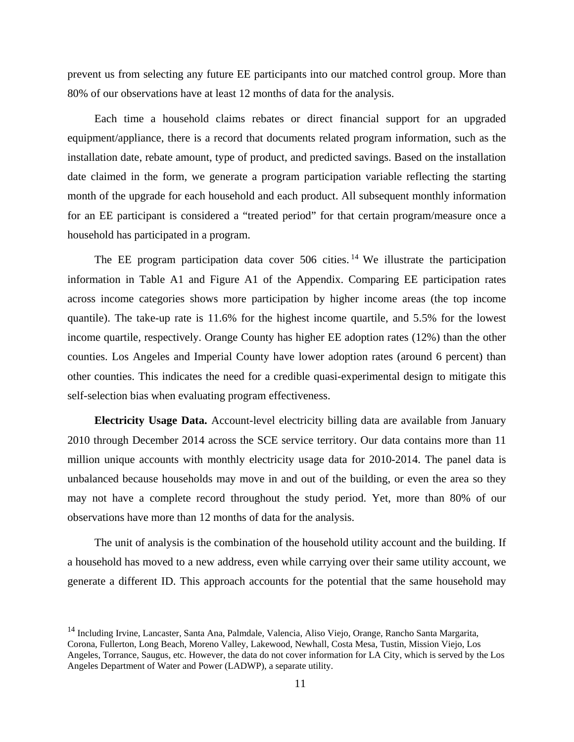prevent us from selecting any future EE participants into our matched control group. More than 80% of our observations have at least 12 months of data for the analysis.

Each time a household claims rebates or direct financial support for an upgraded equipment/appliance, there is a record that documents related program information, such as the installation date, rebate amount, type of product, and predicted savings. Based on the installation date claimed in the form, we generate a program participation variable reflecting the starting month of the upgrade for each household and each product. All subsequent monthly information for an EE participant is considered a "treated period" for that certain program/measure once a household has participated in a program.

The EE program participation data cover  $506$  cities.<sup>[14](#page-10-0)</sup> We illustrate the participation information in Table A1 and Figure A1 of the Appendix. Comparing EE participation rates across income categories shows more participation by higher income areas (the top income quantile). The take-up rate is 11.6% for the highest income quartile, and 5.5% for the lowest income quartile, respectively. Orange County has higher EE adoption rates (12%) than the other counties. Los Angeles and Imperial County have lower adoption rates (around 6 percent) than other counties. This indicates the need for a credible quasi-experimental design to mitigate this self-selection bias when evaluating program effectiveness.

**Electricity Usage Data.** Account-level electricity billing data are available from January 2010 through December 2014 across the SCE service territory. Our data contains more than 11 million unique accounts with monthly electricity usage data for 2010-2014. The panel data is unbalanced because households may move in and out of the building, or even the area so they may not have a complete record throughout the study period. Yet, more than 80% of our observations have more than 12 months of data for the analysis.

The unit of analysis is the combination of the household utility account and the building. If a household has moved to a new address, even while carrying over their same utility account, we generate a different ID. This approach accounts for the potential that the same household may

<span id="page-10-0"></span><sup>&</sup>lt;sup>14</sup> Including Irvine, Lancaster, Santa Ana, Palmdale, Valencia, Aliso Viejo, Orange, Rancho Santa Margarita, Corona, Fullerton, Long Beach, Moreno Valley, Lakewood, Newhall, Costa Mesa, Tustin, Mission Viejo, Los Angeles, Torrance, Saugus, etc. However, the data do not cover information for LA City, which is served by the Los Angeles Department of Water and Power (LADWP), a separate utility.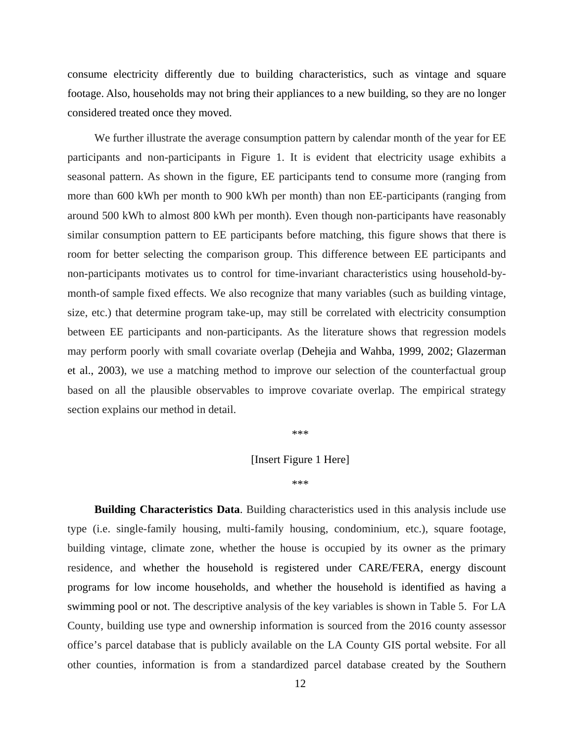consume electricity differently due to building characteristics, such as vintage and square footage. Also, households may not bring their appliances to a new building, so they are no longer considered treated once they moved.

We further illustrate the average consumption pattern by calendar month of the year for EE participants and non-participants in Figure 1. It is evident that electricity usage exhibits a seasonal pattern. As shown in the figure, EE participants tend to consume more (ranging from more than 600 kWh per month to 900 kWh per month) than non EE-participants (ranging from around 500 kWh to almost 800 kWh per month). Even though non-participants have reasonably similar consumption pattern to EE participants before matching, this figure shows that there is room for better selecting the comparison group. This difference between EE participants and non-participants motivates us to control for time-invariant characteristics using household-bymonth-of sample fixed effects. We also recognize that many variables (such as building vintage, size, etc.) that determine program take-up, may still be correlated with electricity consumption between EE participants and non-participants. As the literature shows that regression models may perform poorly with small covariate overlap (Dehejia and Wahba, 1999, 2002; Glazerman et al., 2003), we use a matching method to improve our selection of the counterfactual group based on all the plausible observables to improve covariate overlap. The empirical strategy section explains our method in detail.

\*\*\*

## [Insert Figure 1 Here]

\*\*\*

**Building Characteristics Data**. Building characteristics used in this analysis include use type (i.e. single-family housing, multi-family housing, condominium, etc.), square footage, building vintage, climate zone, whether the house is occupied by its owner as the primary residence, and whether the household is registered under CARE/FERA, energy discount programs for low income households, and whether the household is identified as having a swimming pool or not. The descriptive analysis of the key variables is shown in Table 5. For LA County, building use type and ownership information is sourced from the 2016 county assessor office's parcel database that is publicly available on the LA County GIS portal website. For all other counties, information is from a standardized parcel database created by the Southern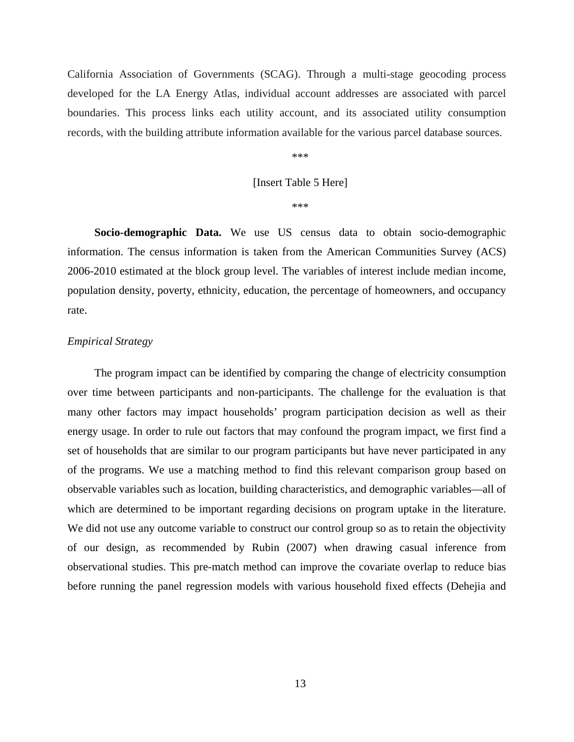California Association of Governments (SCAG). Through a multi-stage geocoding process developed for the LA Energy Atlas, individual account addresses are associated with parcel boundaries. This process links each utility account, and its associated utility consumption records, with the building attribute information available for the various parcel database sources.

\*\*\*

#### [Insert Table 5 Here]

\*\*\*

**Socio-demographic Data.** We use US census data to obtain socio-demographic information. The census information is taken from the American Communities Survey (ACS) 2006-2010 estimated at the block group level. The variables of interest include median income, population density, poverty, ethnicity, education, the percentage of homeowners, and occupancy rate.

## *Empirical Strategy*

The program impact can be identified by comparing the change of electricity consumption over time between participants and non-participants. The challenge for the evaluation is that many other factors may impact households' program participation decision as well as their energy usage. In order to rule out factors that may confound the program impact, we first find a set of households that are similar to our program participants but have never participated in any of the programs. We use a matching method to find this relevant comparison group based on observable variables such as location, building characteristics, and demographic variables—all of which are determined to be important regarding decisions on program uptake in the literature. We did not use any outcome variable to construct our control group so as to retain the objectivity of our design, as recommended by Rubin (2007) when drawing casual inference from observational studies. This pre-match method can improve the covariate overlap to reduce bias before running the panel regression models with various household fixed effects (Dehejia and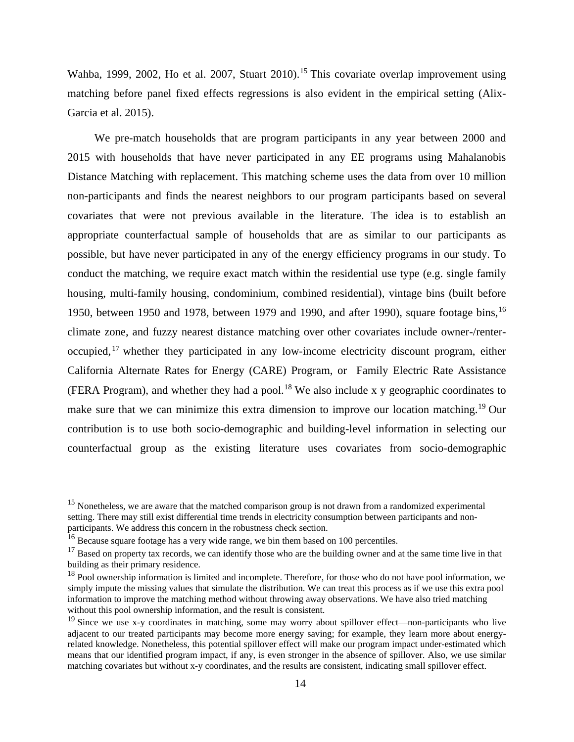Wahba, 1999, 2002, Ho et al. 2007, Stuart 2010).<sup>[15](#page-13-0)</sup> This covariate overlap improvement using matching before panel fixed effects regressions is also evident in the empirical setting (Alix-Garcia et al. 2015).

We pre-match households that are program participants in any year between 2000 and 2015 with households that have never participated in any EE programs using Mahalanobis Distance Matching with replacement. This matching scheme uses the data from over 10 million non-participants and finds the nearest neighbors to our program participants based on several covariates that were not previous available in the literature. The idea is to establish an appropriate counterfactual sample of households that are as similar to our participants as possible, but have never participated in any of the energy efficiency programs in our study. To conduct the matching, we require exact match within the residential use type (e.g. single family housing, multi-family housing, condominium, combined residential), vintage bins (built before 1950, between 1950 and 1978, between 1979 and 1990, and after 1990), square footage bins, <sup>[16](#page-13-1)</sup> climate zone, and fuzzy nearest distance matching over other covariates include owner-/renteroccupied, [17](#page-13-2) whether they participated in any low-income electricity discount program, either California Alternate Rates for Energy (CARE) Program, or Family Electric Rate Assistance (FERA Program), and whether they had a pool.<sup>[18](#page-13-3)</sup> We also include x y geographic coordinates to make sure that we can minimize this extra dimension to improve our location matching.<sup>[19](#page-13-4)</sup> Our contribution is to use both socio-demographic and building-level information in selecting our counterfactual group as the existing literature uses covariates from socio-demographic

<span id="page-13-0"></span><sup>&</sup>lt;sup>15</sup> Nonetheless, we are aware that the matched comparison group is not drawn from a randomized experimental setting. There may still exist differential time trends in electricity consumption between participants and nonparticipants. We address this concern in the robustness check section.

<span id="page-13-1"></span><sup>&</sup>lt;sup>16</sup> Because square footage has a very wide range, we bin them based on 100 percentiles.

<span id="page-13-2"></span> $17$  Based on property tax records, we can identify those who are the building owner and at the same time live in that building as their primary residence.

<span id="page-13-3"></span> $18$  Pool ownership information is limited and incomplete. Therefore, for those who do not have pool information, we simply impute the missing values that simulate the distribution. We can treat this process as if we use this extra pool information to improve the matching method without throwing away observations. We have also tried matching without this pool ownership information, and the result is consistent.

<span id="page-13-4"></span> $19$  Since we use x-y coordinates in matching, some may worry about spillover effect—non-participants who live adjacent to our treated participants may become more energy saving; for example, they learn more about energyrelated knowledge. Nonetheless, this potential spillover effect will make our program impact under-estimated which means that our identified program impact, if any, is even stronger in the absence of spillover. Also, we use similar matching covariates but without x-y coordinates, and the results are consistent, indicating small spillover effect.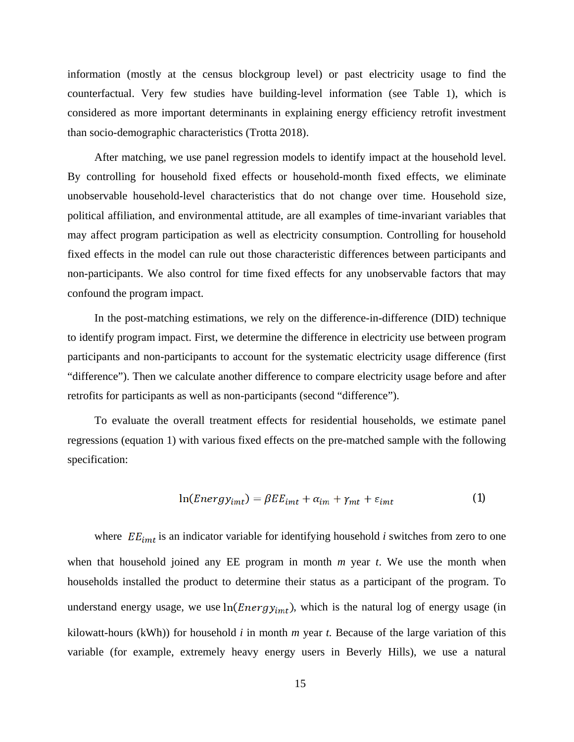information (mostly at the census blockgroup level) or past electricity usage to find the counterfactual. Very few studies have building-level information (see Table 1), which is considered as more important determinants in explaining energy efficiency retrofit investment than socio-demographic characteristics (Trotta 2018).

After matching, we use panel regression models to identify impact at the household level. By controlling for household fixed effects or household-month fixed effects, we eliminate unobservable household-level characteristics that do not change over time. Household size, political affiliation, and environmental attitude, are all examples of time-invariant variables that may affect program participation as well as electricity consumption. Controlling for household fixed effects in the model can rule out those characteristic differences between participants and non-participants. We also control for time fixed effects for any unobservable factors that may confound the program impact.

In the post-matching estimations, we rely on the difference-in-difference (DID) technique to identify program impact. First, we determine the difference in electricity use between program participants and non-participants to account for the systematic electricity usage difference (first "difference"). Then we calculate another difference to compare electricity usage before and after retrofits for participants as well as non-participants (second "difference").

To evaluate the overall treatment effects for residential households, we estimate panel regressions (equation 1) with various fixed effects on the pre-matched sample with the following specification:

$$
\ln(Energy_{imt}) = \beta EE_{imt} + \alpha_{im} + \gamma_{mt} + \varepsilon_{imt} \tag{1}
$$

where  $EE_{imt}$  is an indicator variable for identifying household *i* switches from zero to one when that household joined any EE program in month *m* year *t*. We use the month when households installed the product to determine their status as a participant of the program. To understand energy usage, we use  $\ln(Energy_{imt})$ , which is the natural log of energy usage (in kilowatt-hours (kWh)) for household *i* in month *m* year *t.* Because of the large variation of this variable (for example, extremely heavy energy users in Beverly Hills), we use a natural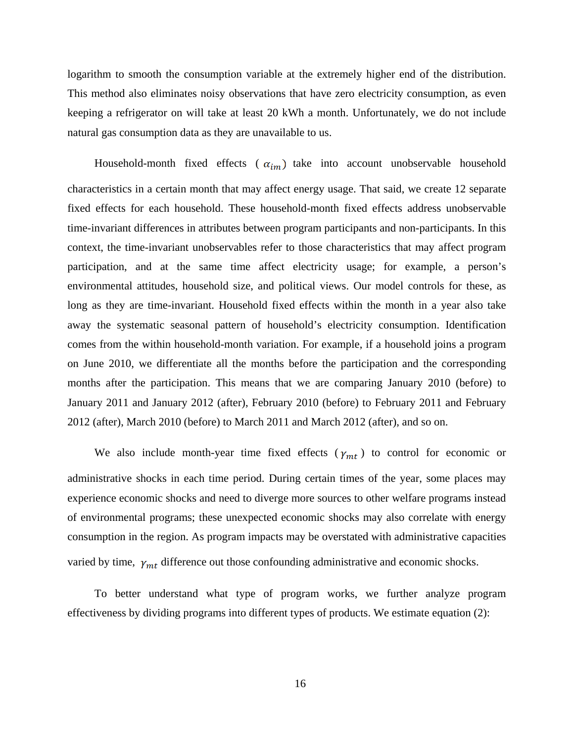logarithm to smooth the consumption variable at the extremely higher end of the distribution. This method also eliminates noisy observations that have zero electricity consumption, as even keeping a refrigerator on will take at least 20 kWh a month. Unfortunately, we do not include natural gas consumption data as they are unavailable to us.

Household-month fixed effects ( $\alpha_{im}$ ) take into account unobservable household characteristics in a certain month that may affect energy usage. That said, we create 12 separate fixed effects for each household. These household-month fixed effects address unobservable time-invariant differences in attributes between program participants and non-participants. In this context, the time-invariant unobservables refer to those characteristics that may affect program participation, and at the same time affect electricity usage; for example, a person's environmental attitudes, household size, and political views. Our model controls for these, as long as they are time-invariant. Household fixed effects within the month in a year also take away the systematic seasonal pattern of household's electricity consumption. Identification comes from the within household-month variation. For example, if a household joins a program on June 2010, we differentiate all the months before the participation and the corresponding months after the participation. This means that we are comparing January 2010 (before) to January 2011 and January 2012 (after), February 2010 (before) to February 2011 and February 2012 (after), March 2010 (before) to March 2011 and March 2012 (after), and so on.

We also include month-year time fixed effects ( $\gamma_{mt}$ ) to control for economic or administrative shocks in each time period. During certain times of the year, some places may experience economic shocks and need to diverge more sources to other welfare programs instead of environmental programs; these unexpected economic shocks may also correlate with energy consumption in the region. As program impacts may be overstated with administrative capacities varied by time,  $\gamma_{mt}$  difference out those confounding administrative and economic shocks.

To better understand what type of program works, we further analyze program effectiveness by dividing programs into different types of products. We estimate equation (2):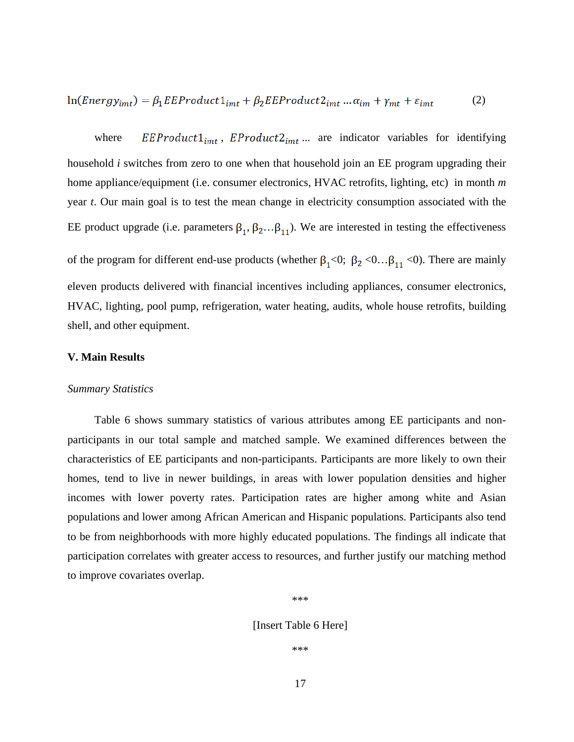$\ln(Energy_{imt}) = \beta_1 EEProduct1_{imt} + \beta_2 EEProduct2_{imt} ... \alpha_{im} + \gamma_{mt} + \varepsilon_{imt}$  (2)

where  $EEProduct1_{imt}$ ,  $EProduct2_{imt}$  ... are indicator variables for identifying household *i* switches from zero to one when that household join an EE program upgrading their home appliance/equipment (i.e. consumer electronics, HVAC retrofits, lighting, etc) in month *m* year *t*. Our main goal is to test the mean change in electricity consumption associated with the EE product upgrade (i.e. parameters  $\beta_1$ ,  $\beta_2$ ... $\beta_{11}$ ). We are interested in testing the effectiveness

of the program for different end-use products (whether  $\beta_1 < 0$ ;  $\beta_2 < 0 \dots \beta_{11} < 0$ ). There are mainly eleven products delivered with financial incentives including appliances, consumer electronics, HVAC, lighting, pool pump, refrigeration, water heating, audits, whole house retrofits, building shell, and other equipment.

## **V. Main Results**

#### *Summary Statistics*

Table 6 shows summary statistics of various attributes among EE participants and nonparticipants in our total sample and matched sample. We examined differences between the characteristics of EE participants and non-participants. Participants are more likely to own their homes, tend to live in newer buildings, in areas with lower population densities and higher incomes with lower poverty rates. Participation rates are higher among white and Asian populations and lower among African American and Hispanic populations. Participants also tend to be from neighborhoods with more highly educated populations. The findings all indicate that participation correlates with greater access to resources, and further justify our matching method to improve covariates overlap.

\*\*\*

## [Insert Table 6 Here]

\*\*\*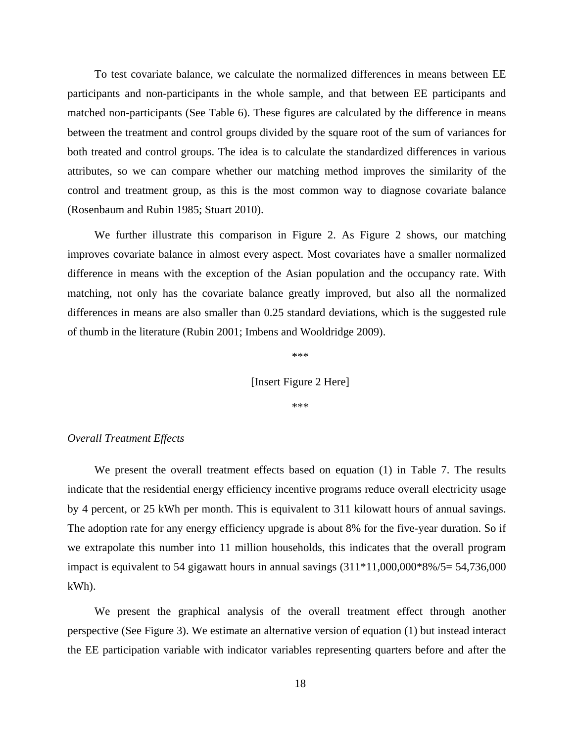To test covariate balance, we calculate the normalized differences in means between EE participants and non-participants in the whole sample, and that between EE participants and matched non-participants (See Table 6). These figures are calculated by the difference in means between the treatment and control groups divided by the square root of the sum of variances for both treated and control groups. The idea is to calculate the standardized differences in various attributes, so we can compare whether our matching method improves the similarity of the control and treatment group, as this is the most common way to diagnose covariate balance (Rosenbaum and Rubin 1985; Stuart 2010).

We further illustrate this comparison in Figure 2. As Figure 2 shows, our matching improves covariate balance in almost every aspect. Most covariates have a smaller normalized difference in means with the exception of the Asian population and the occupancy rate. With matching, not only has the covariate balance greatly improved, but also all the normalized differences in means are also smaller than 0.25 standard deviations, which is the suggested rule of thumb in the literature (Rubin 2001; Imbens and Wooldridge 2009).

> \*\*\* [Insert Figure 2 Here]

> > \*\*\*

## *Overall Treatment Effects*

We present the overall treatment effects based on equation (1) in Table 7. The results indicate that the residential energy efficiency incentive programs reduce overall electricity usage by 4 percent, or 25 kWh per month. This is equivalent to 311 kilowatt hours of annual savings. The adoption rate for any energy efficiency upgrade is about 8% for the five-year duration. So if we extrapolate this number into 11 million households, this indicates that the overall program impact is equivalent to 54 gigawatt hours in annual savings  $(311*11,000,000*8\%/5=54,736,000$ kWh).

We present the graphical analysis of the overall treatment effect through another perspective (See Figure 3). We estimate an alternative version of equation (1) but instead interact the EE participation variable with indicator variables representing quarters before and after the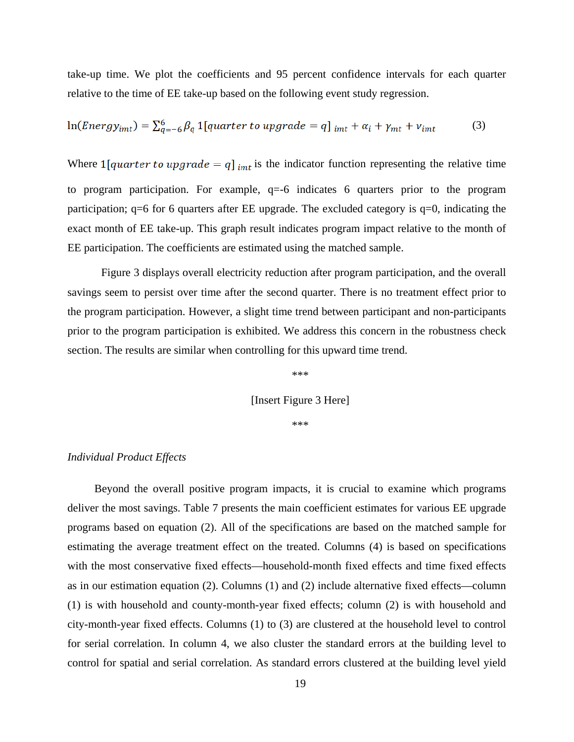take-up time. We plot the coefficients and 95 percent confidence intervals for each quarter relative to the time of EE take-up based on the following event study regression.

$$
\ln(Energy_{imt}) = \sum_{q=-6}^{6} \beta_q 1[quarter\ to\ upgrade = q]_{imt} + \alpha_i + \gamma_{mt} + \nu_{imt}
$$
 (3)

Where  $1[quarter\ to\ upgrade = q]_{imt}$  is the indicator function representing the relative time to program participation. For example, q=-6 indicates 6 quarters prior to the program participation; q=6 for 6 quarters after EE upgrade. The excluded category is q=0, indicating the exact month of EE take-up. This graph result indicates program impact relative to the month of EE participation. The coefficients are estimated using the matched sample.

Figure 3 displays overall electricity reduction after program participation, and the overall savings seem to persist over time after the second quarter. There is no treatment effect prior to the program participation. However, a slight time trend between participant and non-participants prior to the program participation is exhibited. We address this concern in the robustness check section. The results are similar when controlling for this upward time trend.

\*\*\*

[Insert Figure 3 Here]

\*\*\*

#### *Individual Product Effects*

Beyond the overall positive program impacts, it is crucial to examine which programs deliver the most savings. Table 7 presents the main coefficient estimates for various EE upgrade programs based on equation (2). All of the specifications are based on the matched sample for estimating the average treatment effect on the treated. Columns (4) is based on specifications with the most conservative fixed effects—household-month fixed effects and time fixed effects as in our estimation equation (2). Columns (1) and (2) include alternative fixed effects—column (1) is with household and county-month-year fixed effects; column (2) is with household and city-month-year fixed effects. Columns (1) to (3) are clustered at the household level to control for serial correlation. In column 4, we also cluster the standard errors at the building level to control for spatial and serial correlation. As standard errors clustered at the building level yield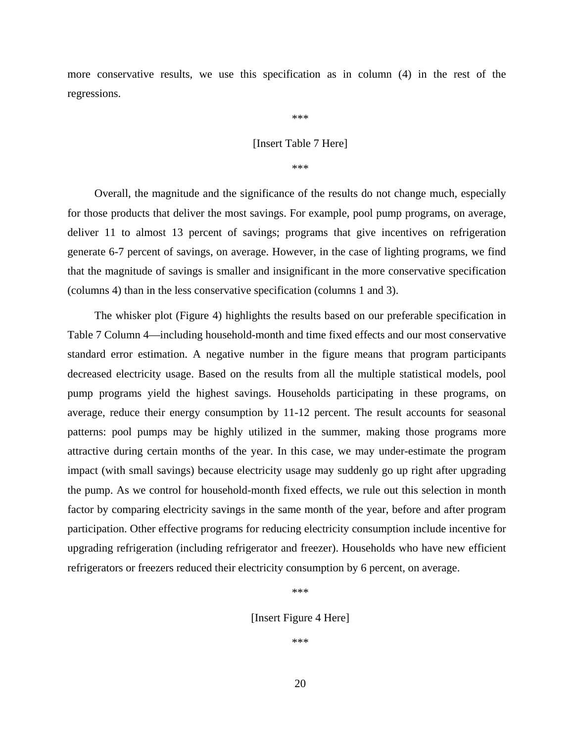more conservative results, we use this specification as in column (4) in the rest of the regressions.

\*\*\*

## [Insert Table 7 Here]

\*\*\*

Overall, the magnitude and the significance of the results do not change much, especially for those products that deliver the most savings. For example, pool pump programs, on average, deliver 11 to almost 13 percent of savings; programs that give incentives on refrigeration generate 6-7 percent of savings, on average. However, in the case of lighting programs, we find that the magnitude of savings is smaller and insignificant in the more conservative specification (columns 4) than in the less conservative specification (columns 1 and 3).

The whisker plot (Figure 4) highlights the results based on our preferable specification in Table 7 Column 4—including household-month and time fixed effects and our most conservative standard error estimation. A negative number in the figure means that program participants decreased electricity usage. Based on the results from all the multiple statistical models, pool pump programs yield the highest savings. Households participating in these programs, on average, reduce their energy consumption by 11-12 percent. The result accounts for seasonal patterns: pool pumps may be highly utilized in the summer, making those programs more attractive during certain months of the year. In this case, we may under-estimate the program impact (with small savings) because electricity usage may suddenly go up right after upgrading the pump. As we control for household-month fixed effects, we rule out this selection in month factor by comparing electricity savings in the same month of the year, before and after program participation. Other effective programs for reducing electricity consumption include incentive for upgrading refrigeration (including refrigerator and freezer). Households who have new efficient refrigerators or freezers reduced their electricity consumption by 6 percent, on average.

\*\*\*

[Insert Figure 4 Here]

\*\*\*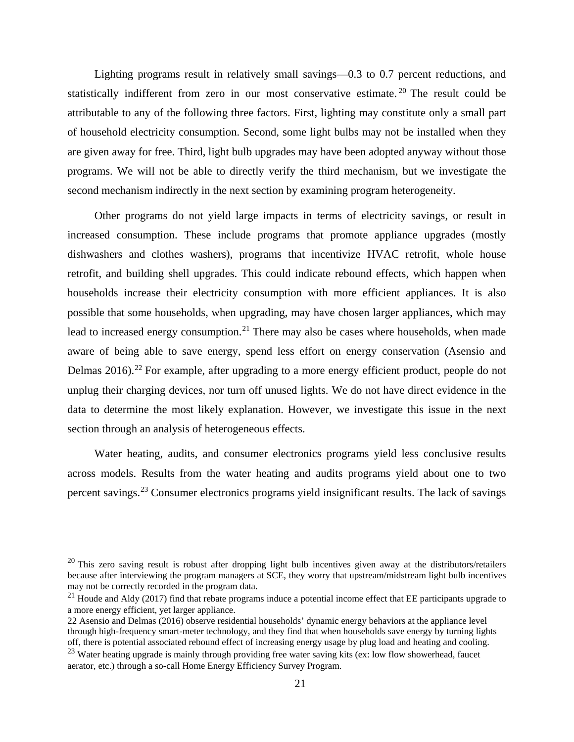Lighting programs result in relatively small savings—0.3 to 0.7 percent reductions, and statistically indifferent from zero in our most conservative estimate.<sup>[20](#page-20-0)</sup> The result could be attributable to any of the following three factors. First, lighting may constitute only a small part of household electricity consumption. Second, some light bulbs may not be installed when they are given away for free. Third, light bulb upgrades may have been adopted anyway without those programs. We will not be able to directly verify the third mechanism, but we investigate the second mechanism indirectly in the next section by examining program heterogeneity.

Other programs do not yield large impacts in terms of electricity savings, or result in increased consumption. These include programs that promote appliance upgrades (mostly dishwashers and clothes washers), programs that incentivize HVAC retrofit, whole house retrofit, and building shell upgrades. This could indicate rebound effects, which happen when households increase their electricity consumption with more efficient appliances. It is also possible that some households, when upgrading, may have chosen larger appliances, which may lead to increased energy consumption.<sup>[21](#page-20-1)</sup> There may also be cases where households, when made aware of being able to save energy, spend less effort on energy conservation (Asensio and Delmas 2016).<sup>[22](#page-20-2)</sup> For example, after upgrading to a more energy efficient product, people do not unplug their charging devices, nor turn off unused lights. We do not have direct evidence in the data to determine the most likely explanation. However, we investigate this issue in the next section through an analysis of heterogeneous effects.

Water heating, audits, and consumer electronics programs yield less conclusive results across models. Results from the water heating and audits programs yield about one to two percent savings.<sup>[23](#page-20-3)</sup> Consumer electronics programs yield insignificant results. The lack of savings

<span id="page-20-0"></span> $20$  This zero saving result is robust after dropping light bulb incentives given away at the distributors/retailers because after interviewing the program managers at SCE, they worry that upstream/midstream light bulb incentives may not be correctly recorded in the program data.

<span id="page-20-1"></span> $21$  Houde and Aldy (2017) find that rebate programs induce a potential income effect that EE participants upgrade to a more energy efficient, yet larger appliance.

<span id="page-20-2"></span><sup>22</sup> Asensio and Delmas (2016) observe residential households' dynamic energy behaviors at the appliance level through high-frequency smart-meter technology, and they find that when households save energy by turning lights off, there is potential associated rebound effect of increasing energy usage by plug load and heating and cooling.

<span id="page-20-3"></span><sup>&</sup>lt;sup>23</sup> Water heating upgrade is mainly through providing free water saving kits (ex: low flow showerhead, faucet aerator, etc.) through a so-call Home Energy Efficiency Survey Program.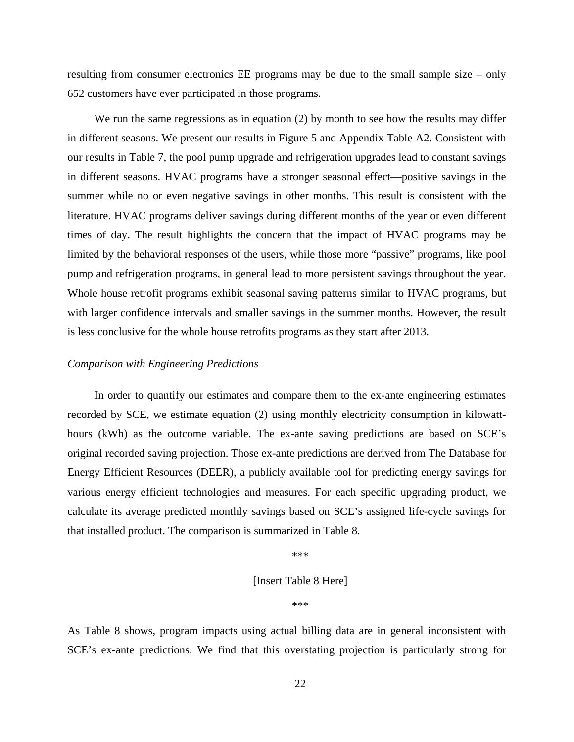resulting from consumer electronics EE programs may be due to the small sample size – only 652 customers have ever participated in those programs.

We run the same regressions as in equation (2) by month to see how the results may differ in different seasons. We present our results in Figure 5 and Appendix Table A2. Consistent with our results in Table 7, the pool pump upgrade and refrigeration upgrades lead to constant savings in different seasons. HVAC programs have a stronger seasonal effect—positive savings in the summer while no or even negative savings in other months. This result is consistent with the literature. HVAC programs deliver savings during different months of the year or even different times of day. The result highlights the concern that the impact of HVAC programs may be limited by the behavioral responses of the users, while those more "passive" programs, like pool pump and refrigeration programs, in general lead to more persistent savings throughout the year. Whole house retrofit programs exhibit seasonal saving patterns similar to HVAC programs, but with larger confidence intervals and smaller savings in the summer months. However, the result is less conclusive for the whole house retrofits programs as they start after 2013.

#### *Comparison with Engineering Predictions*

In order to quantify our estimates and compare them to the ex-ante engineering estimates recorded by SCE, we estimate equation (2) using monthly electricity consumption in kilowatthours (kWh) as the outcome variable. The ex-ante saving predictions are based on SCE's original recorded saving projection. Those ex-ante predictions are derived from The Database for Energy Efficient Resources (DEER), a publicly available tool for predicting energy savings for various energy efficient technologies and measures. For each specific upgrading product, we calculate its average predicted monthly savings based on SCE's assigned life-cycle savings for that installed product. The comparison is summarized in Table 8.

\*\*\*

#### [Insert Table 8 Here]

\*\*\*

As Table 8 shows, program impacts using actual billing data are in general inconsistent with SCE's ex-ante predictions. We find that this overstating projection is particularly strong for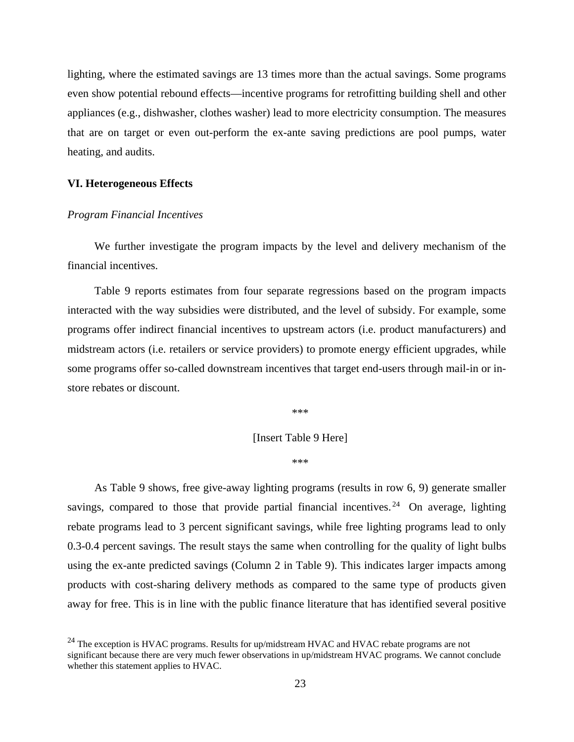lighting, where the estimated savings are 13 times more than the actual savings. Some programs even show potential rebound effects—incentive programs for retrofitting building shell and other appliances (e.g., dishwasher, clothes washer) lead to more electricity consumption. The measures that are on target or even out-perform the ex-ante saving predictions are pool pumps, water heating, and audits.

#### **VI. Heterogeneous Effects**

#### *Program Financial Incentives*

We further investigate the program impacts by the level and delivery mechanism of the financial incentives.

Table 9 reports estimates from four separate regressions based on the program impacts interacted with the way subsidies were distributed, and the level of subsidy. For example, some programs offer indirect financial incentives to upstream actors (i.e. product manufacturers) and midstream actors (i.e. retailers or service providers) to promote energy efficient upgrades, while some programs offer so-called downstream incentives that target end-users through mail-in or instore rebates or discount.

\*\*\*

# [Insert Table 9 Here]

\*\*\*

As Table 9 shows, free give-away lighting programs (results in row 6, 9) generate smaller savings, compared to those that provide partial financial incentives.<sup>[24](#page-22-0)</sup> On average, lighting rebate programs lead to 3 percent significant savings, while free lighting programs lead to only 0.3-0.4 percent savings. The result stays the same when controlling for the quality of light bulbs using the ex-ante predicted savings (Column 2 in Table 9). This indicates larger impacts among products with cost-sharing delivery methods as compared to the same type of products given away for free. This is in line with the public finance literature that has identified several positive

<span id="page-22-0"></span><sup>&</sup>lt;sup>24</sup> The exception is HVAC programs. Results for up/midstream HVAC and HVAC rebate programs are not significant because there are very much fewer observations in up/midstream HVAC programs. We cannot conclude whether this statement applies to HVAC.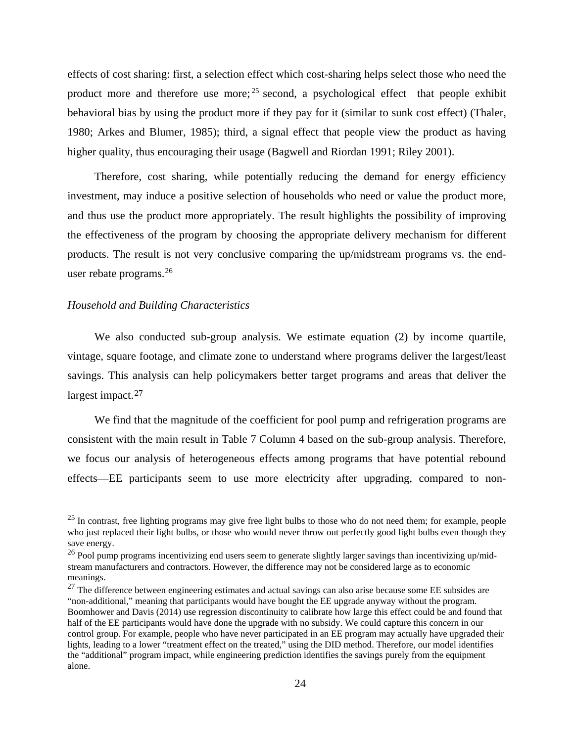effects of cost sharing: first, a selection effect which cost-sharing helps select those who need the product more and therefore use more;  $25$  second, a psychological effect that people exhibit behavioral bias by using the product more if they pay for it (similar to sunk cost effect) (Thaler, 1980; Arkes and Blumer, 1985); third, a signal effect that people view the product as having higher quality, thus encouraging their usage (Bagwell and Riordan 1991; Riley 2001).

Therefore, cost sharing, while potentially reducing the demand for energy efficiency investment, may induce a positive selection of households who need or value the product more, and thus use the product more appropriately. The result highlights the possibility of improving the effectiveness of the program by choosing the appropriate delivery mechanism for different products. The result is not very conclusive comparing the up/midstream programs vs. the end-user rebate programs.<sup>[26](#page-23-1)</sup>

## *Household and Building Characteristics*

We also conducted sub-group analysis. We estimate equation (2) by income quartile, vintage, square footage, and climate zone to understand where programs deliver the largest/least savings. This analysis can help policymakers better target programs and areas that deliver the largest impact.<sup>[27](#page-23-2)</sup>

We find that the magnitude of the coefficient for pool pump and refrigeration programs are consistent with the main result in Table 7 Column 4 based on the sub-group analysis. Therefore, we focus our analysis of heterogeneous effects among programs that have potential rebound effects—EE participants seem to use more electricity after upgrading, compared to non-

<span id="page-23-0"></span> $^{25}$  In contrast, free lighting programs may give free light bulbs to those who do not need them; for example, people who just replaced their light bulbs, or those who would never throw out perfectly good light bulbs even though they save energy.

<span id="page-23-1"></span> $^{26}$  Pool pump programs incentivizing end users seem to generate slightly larger savings than incentivizing up/midstream manufacturers and contractors. However, the difference may not be considered large as to economic meanings.

<span id="page-23-2"></span><sup>&</sup>lt;sup>27</sup> The difference between engineering estimates and actual savings can also arise because some EE subsides are "non-additional," meaning that participants would have bought the EE upgrade anyway without the program. Boomhower and Davis (2014) use regression discontinuity to calibrate how large this effect could be and found that half of the EE participants would have done the upgrade with no subsidy. We could capture this concern in our control group. For example, people who have never participated in an EE program may actually have upgraded their lights, leading to a lower "treatment effect on the treated," using the DID method. Therefore, our model identifies the "additional" program impact, while engineering prediction identifies the savings purely from the equipment alone.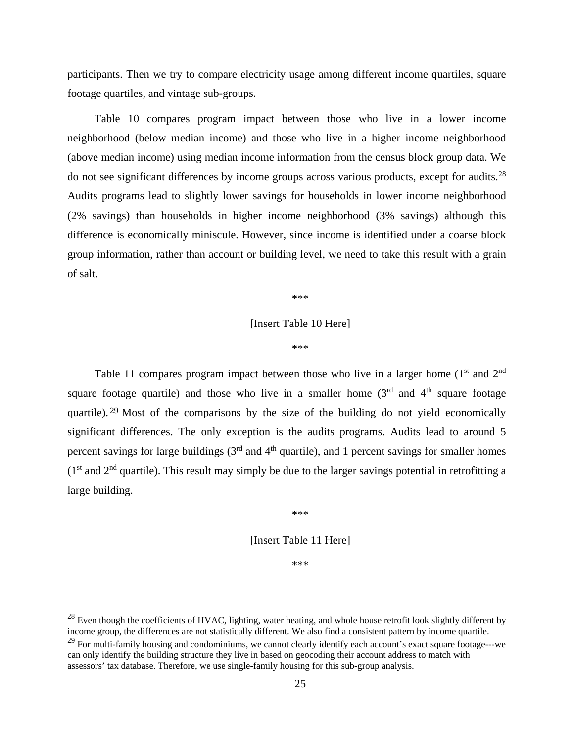participants. Then we try to compare electricity usage among different income quartiles, square footage quartiles, and vintage sub-groups.

Table 10 compares program impact between those who live in a lower income neighborhood (below median income) and those who live in a higher income neighborhood (above median income) using median income information from the census block group data. We do not see significant differences by income groups across various products, except for audits.<sup>[28](#page-24-0)</sup> Audits programs lead to slightly lower savings for households in lower income neighborhood (2% savings) than households in higher income neighborhood (3% savings) although this difference is economically miniscule. However, since income is identified under a coarse block group information, rather than account or building level, we need to take this result with a grain of salt.

\*\*\*

# [Insert Table 10 Here]

\*\*\*

Table 11 compares program impact between those who live in a larger home  $(1<sup>st</sup>$  and  $2<sup>nd</sup>$ square footage quartile) and those who live in a smaller home  $(3<sup>rd</sup>$  and  $4<sup>th</sup>$  square footage quartile). [29](#page-24-1) Most of the comparisons by the size of the building do not yield economically significant differences. The only exception is the audits programs. Audits lead to around 5 percent savings for large buildings  $(3<sup>rd</sup>$  and  $4<sup>th</sup>$  quartile), and 1 percent savings for smaller homes  $(1<sup>st</sup>$  and  $2<sup>nd</sup>$  quartile). This result may simply be due to the larger savings potential in retrofitting a large building.

\*\*\*

# [Insert Table 11 Here]

\*\*\*

<span id="page-24-1"></span><span id="page-24-0"></span><sup>&</sup>lt;sup>28</sup> Even though the coefficients of HVAC, lighting, water heating, and whole house retrofit look slightly different by income group, the differences are not statistically different. We also find a consistent pattern by income quartile.  $^{29}$  For multi-family housing and condominiums, we cannot clearly identify each account's exact square footage---we can only identify the building structure they live in based on geocoding their account address to match with assessors' tax database. Therefore, we use single-family housing for this sub-group analysis.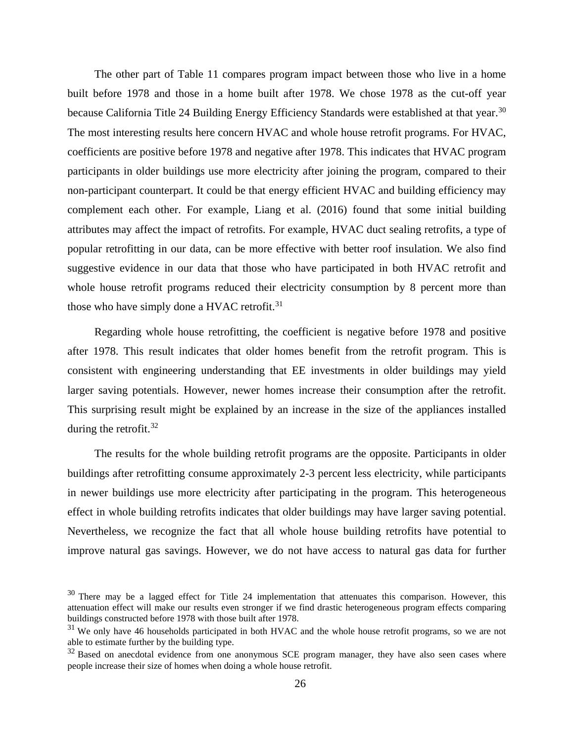The other part of Table 11 compares program impact between those who live in a home built before 1978 and those in a home built after 1978. We chose 1978 as the cut-off year because California Title 24 Building Energy Efficiency Standards were established at that year.<sup>[30](#page-25-0)</sup> The most interesting results here concern HVAC and whole house retrofit programs. For HVAC, coefficients are positive before 1978 and negative after 1978. This indicates that HVAC program participants in older buildings use more electricity after joining the program, compared to their non-participant counterpart. It could be that energy efficient HVAC and building efficiency may complement each other. For example, Liang et al. (2016) found that some initial building attributes may affect the impact of retrofits. For example, HVAC duct sealing retrofits, a type of popular retrofitting in our data, can be more effective with better roof insulation. We also find suggestive evidence in our data that those who have participated in both HVAC retrofit and whole house retrofit programs reduced their electricity consumption by 8 percent more than those who have simply done a HVAC retrofit.<sup>[31](#page-25-1)</sup>

Regarding whole house retrofitting, the coefficient is negative before 1978 and positive after 1978. This result indicates that older homes benefit from the retrofit program. This is consistent with engineering understanding that EE investments in older buildings may yield larger saving potentials. However, newer homes increase their consumption after the retrofit. This surprising result might be explained by an increase in the size of the appliances installed during the retrofit.<sup>[32](#page-25-2)</sup>

The results for the whole building retrofit programs are the opposite. Participants in older buildings after retrofitting consume approximately 2-3 percent less electricity, while participants in newer buildings use more electricity after participating in the program. This heterogeneous effect in whole building retrofits indicates that older buildings may have larger saving potential. Nevertheless, we recognize the fact that all whole house building retrofits have potential to improve natural gas savings. However, we do not have access to natural gas data for further

<span id="page-25-0"></span><sup>&</sup>lt;sup>30</sup> There may be a lagged effect for Title 24 implementation that attenuates this comparison. However, this attenuation effect will make our results even stronger if we find drastic heterogeneous program effects comparing buildings constructed before 1978 with those built after 1978.

<span id="page-25-1"></span><sup>&</sup>lt;sup>31</sup> We only have 46 households participated in both HVAC and the whole house retrofit programs, so we are not able to estimate further by the building type.

<span id="page-25-2"></span><sup>&</sup>lt;sup>32</sup> Based on anecdotal evidence from one anonymous SCE program manager, they have also seen cases where people increase their size of homes when doing a whole house retrofit.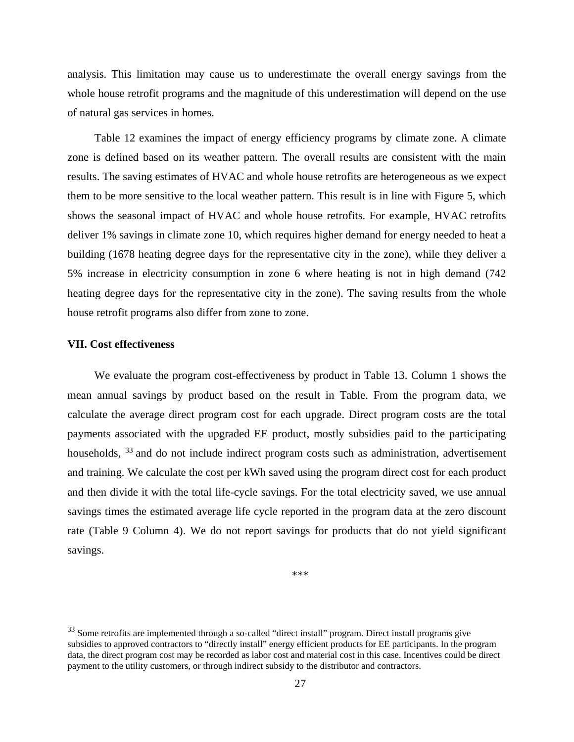analysis. This limitation may cause us to underestimate the overall energy savings from the whole house retrofit programs and the magnitude of this underestimation will depend on the use of natural gas services in homes.

Table 12 examines the impact of energy efficiency programs by climate zone. A climate zone is defined based on its weather pattern. The overall results are consistent with the main results. The saving estimates of HVAC and whole house retrofits are heterogeneous as we expect them to be more sensitive to the local weather pattern. This result is in line with Figure 5, which shows the seasonal impact of HVAC and whole house retrofits. For example, HVAC retrofits deliver 1% savings in climate zone 10, which requires higher demand for energy needed to heat a building (1678 heating degree days for the representative city in the zone), while they deliver a 5% increase in electricity consumption in zone 6 where heating is not in high demand (742 heating degree days for the representative city in the zone). The saving results from the whole house retrofit programs also differ from zone to zone.

## **VII. Cost effectiveness**

We evaluate the program cost-effectiveness by product in Table 13. Column 1 shows the mean annual savings by product based on the result in Table. From the program data, we calculate the average direct program cost for each upgrade. Direct program costs are the total payments associated with the upgraded EE product, mostly subsidies paid to the participating households, <sup>[33](#page-26-0)</sup> and do not include indirect program costs such as administration, advertisement and training. We calculate the cost per kWh saved using the program direct cost for each product and then divide it with the total life-cycle savings. For the total electricity saved, we use annual savings times the estimated average life cycle reported in the program data at the zero discount rate (Table 9 Column 4). We do not report savings for products that do not yield significant savings.

\*\*\*

<span id="page-26-0"></span><sup>&</sup>lt;sup>33</sup> Some retrofits are implemented through a so-called "direct install" program. Direct install programs give subsidies to approved contractors to "directly install" energy efficient products for EE participants. In the program data, the direct program cost may be recorded as labor cost and material cost in this case. Incentives could be direct payment to the utility customers, or through indirect subsidy to the distributor and contractors.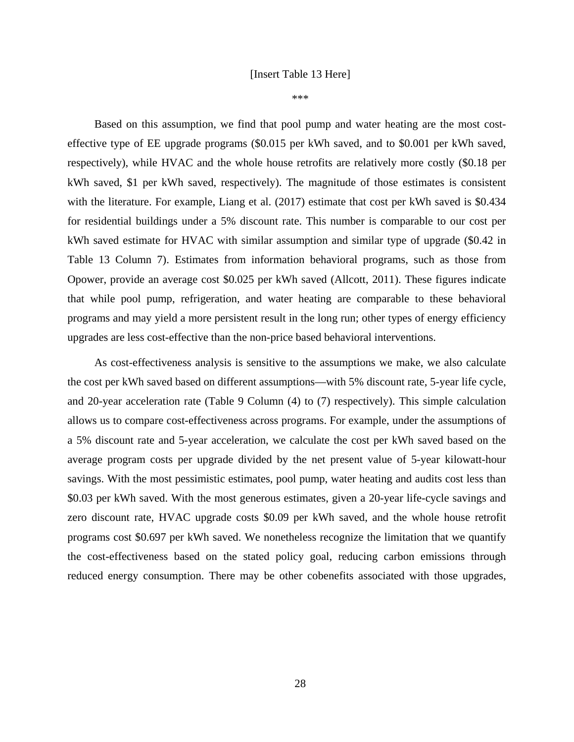#### [Insert Table 13 Here]

\*\*\*

Based on this assumption, we find that pool pump and water heating are the most costeffective type of EE upgrade programs (\$0.015 per kWh saved, and to \$0.001 per kWh saved, respectively), while HVAC and the whole house retrofits are relatively more costly (\$0.18 per kWh saved, \$1 per kWh saved, respectively). The magnitude of those estimates is consistent with the literature. For example, Liang et al. (2017) estimate that cost per kWh saved is \$0.434 for residential buildings under a 5% discount rate. This number is comparable to our cost per kWh saved estimate for HVAC with similar assumption and similar type of upgrade (\$0.42 in Table 13 Column 7). Estimates from information behavioral programs, such as those from Opower, provide an average cost \$0.025 per kWh saved (Allcott, 2011). These figures indicate that while pool pump, refrigeration, and water heating are comparable to these behavioral programs and may yield a more persistent result in the long run; other types of energy efficiency upgrades are less cost-effective than the non-price based behavioral interventions.

As cost-effectiveness analysis is sensitive to the assumptions we make, we also calculate the cost per kWh saved based on different assumptions—with 5% discount rate, 5-year life cycle, and 20-year acceleration rate (Table 9 Column (4) to (7) respectively). This simple calculation allows us to compare cost-effectiveness across programs. For example, under the assumptions of a 5% discount rate and 5-year acceleration, we calculate the cost per kWh saved based on the average program costs per upgrade divided by the net present value of 5-year kilowatt-hour savings. With the most pessimistic estimates, pool pump, water heating and audits cost less than \$0.03 per kWh saved. With the most generous estimates, given a 20-year life-cycle savings and zero discount rate, HVAC upgrade costs \$0.09 per kWh saved, and the whole house retrofit programs cost \$0.697 per kWh saved. We nonetheless recognize the limitation that we quantify the cost-effectiveness based on the stated policy goal, reducing carbon emissions through reduced energy consumption. There may be other cobenefits associated with those upgrades,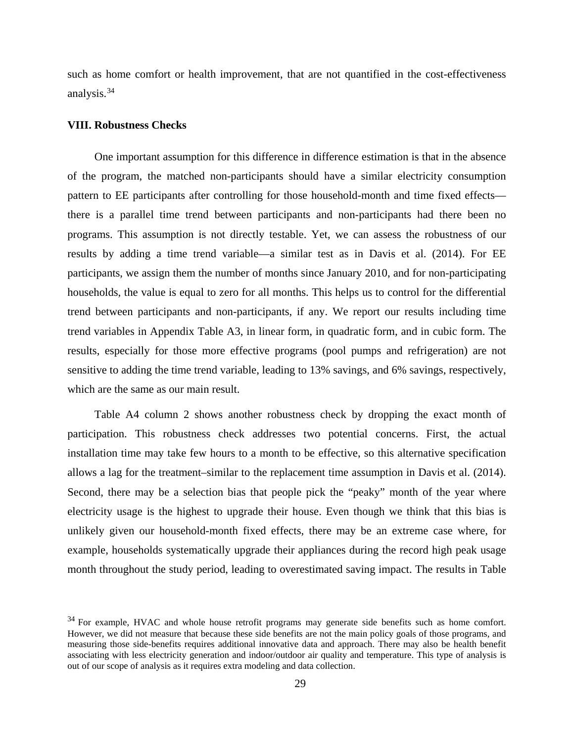such as home comfort or health improvement, that are not quantified in the cost-effectiveness analysis. [34](#page-28-0)

## **VIII. Robustness Checks**

One important assumption for this difference in difference estimation is that in the absence of the program, the matched non-participants should have a similar electricity consumption pattern to EE participants after controlling for those household-month and time fixed effects there is a parallel time trend between participants and non-participants had there been no programs. This assumption is not directly testable. Yet, we can assess the robustness of our results by adding a time trend variable—a similar test as in Davis et al. (2014). For EE participants, we assign them the number of months since January 2010, and for non-participating households, the value is equal to zero for all months. This helps us to control for the differential trend between participants and non-participants, if any. We report our results including time trend variables in Appendix Table A3, in linear form, in quadratic form, and in cubic form. The results, especially for those more effective programs (pool pumps and refrigeration) are not sensitive to adding the time trend variable, leading to 13% savings, and 6% savings, respectively, which are the same as our main result.

Table A4 column 2 shows another robustness check by dropping the exact month of participation. This robustness check addresses two potential concerns. First, the actual installation time may take few hours to a month to be effective, so this alternative specification allows a lag for the treatment–similar to the replacement time assumption in Davis et al. (2014). Second, there may be a selection bias that people pick the "peaky" month of the year where electricity usage is the highest to upgrade their house. Even though we think that this bias is unlikely given our household-month fixed effects, there may be an extreme case where, for example, households systematically upgrade their appliances during the record high peak usage month throughout the study period, leading to overestimated saving impact. The results in Table

<span id="page-28-0"></span> $34$  For example, HVAC and whole house retrofit programs may generate side benefits such as home comfort. However, we did not measure that because these side benefits are not the main policy goals of those programs, and measuring those side-benefits requires additional innovative data and approach. There may also be health benefit associating with less electricity generation and indoor/outdoor air quality and temperature. This type of analysis is out of our scope of analysis as it requires extra modeling and data collection.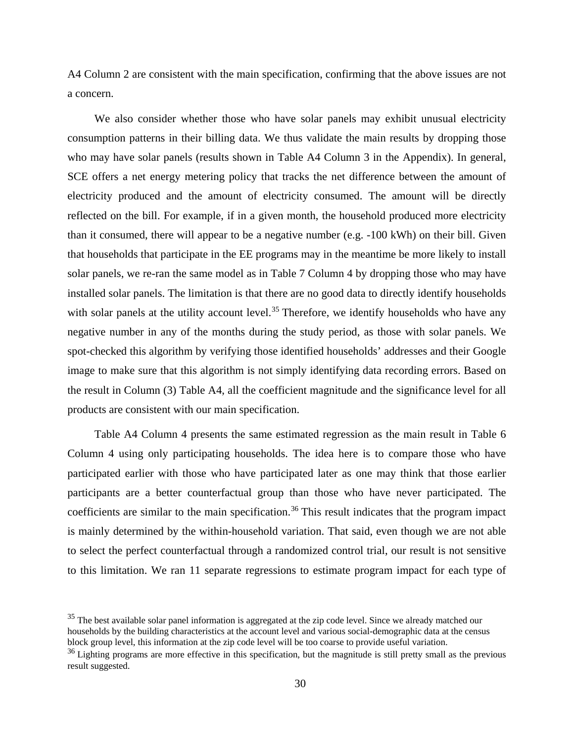A4 Column 2 are consistent with the main specification, confirming that the above issues are not a concern.

We also consider whether those who have solar panels may exhibit unusual electricity consumption patterns in their billing data. We thus validate the main results by dropping those who may have solar panels (results shown in Table A4 Column 3 in the Appendix). In general, SCE offers a net energy metering policy that tracks the net difference between the amount of electricity produced and the amount of electricity consumed. The amount will be directly reflected on the bill. For example, if in a given month, the household produced more electricity than it consumed, there will appear to be a negative number (e.g. -100 kWh) on their bill. Given that households that participate in the EE programs may in the meantime be more likely to install solar panels, we re-ran the same model as in Table 7 Column 4 by dropping those who may have installed solar panels. The limitation is that there are no good data to directly identify households with solar panels at the utility account level.<sup>[35](#page-29-0)</sup> Therefore, we identify households who have any negative number in any of the months during the study period, as those with solar panels. We spot-checked this algorithm by verifying those identified households' addresses and their Google image to make sure that this algorithm is not simply identifying data recording errors. Based on the result in Column (3) Table A4, all the coefficient magnitude and the significance level for all products are consistent with our main specification.

Table A4 Column 4 presents the same estimated regression as the main result in Table 6 Column 4 using only participating households. The idea here is to compare those who have participated earlier with those who have participated later as one may think that those earlier participants are a better counterfactual group than those who have never participated. The coefficients are similar to the main specification.<sup>[36](#page-29-1)</sup> This result indicates that the program impact is mainly determined by the within-household variation. That said, even though we are not able to select the perfect counterfactual through a randomized control trial, our result is not sensitive to this limitation. We ran 11 separate regressions to estimate program impact for each type of

<span id="page-29-0"></span><sup>&</sup>lt;sup>35</sup> The best available solar panel information is aggregated at the zip code level. Since we already matched our households by the building characteristics at the account level and various social-demographic data at the census block group level, this information at the zip code level will be too coarse to provide useful variation.

<span id="page-29-1"></span> $36$  Lighting programs are more effective in this specification, but the magnitude is still pretty small as the previous result suggested.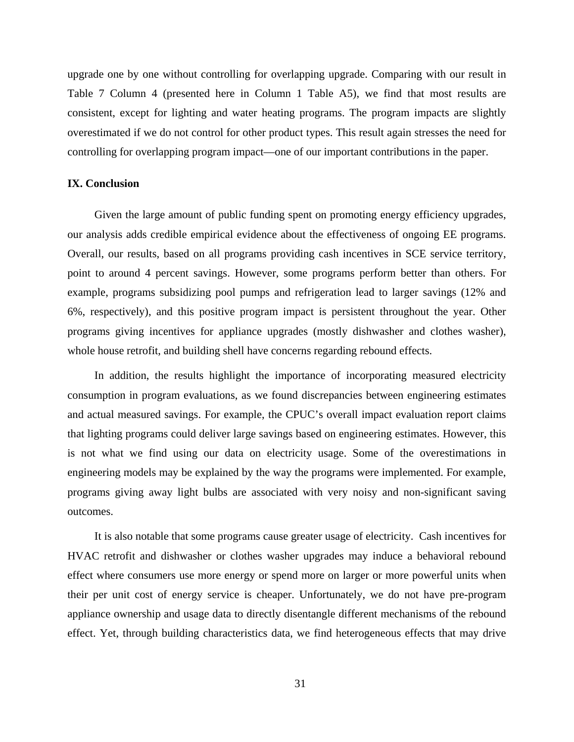upgrade one by one without controlling for overlapping upgrade. Comparing with our result in Table 7 Column 4 (presented here in Column 1 Table A5), we find that most results are consistent, except for lighting and water heating programs. The program impacts are slightly overestimated if we do not control for other product types. This result again stresses the need for controlling for overlapping program impact—one of our important contributions in the paper.

## **IX. Conclusion**

Given the large amount of public funding spent on promoting energy efficiency upgrades, our analysis adds credible empirical evidence about the effectiveness of ongoing EE programs. Overall, our results, based on all programs providing cash incentives in SCE service territory, point to around 4 percent savings. However, some programs perform better than others. For example, programs subsidizing pool pumps and refrigeration lead to larger savings (12% and 6%, respectively), and this positive program impact is persistent throughout the year. Other programs giving incentives for appliance upgrades (mostly dishwasher and clothes washer), whole house retrofit, and building shell have concerns regarding rebound effects.

In addition, the results highlight the importance of incorporating measured electricity consumption in program evaluations, as we found discrepancies between engineering estimates and actual measured savings. For example, the CPUC's overall impact evaluation report claims that lighting programs could deliver large savings based on engineering estimates. However, this is not what we find using our data on electricity usage. Some of the overestimations in engineering models may be explained by the way the programs were implemented. For example, programs giving away light bulbs are associated with very noisy and non-significant saving outcomes.

It is also notable that some programs cause greater usage of electricity. Cash incentives for HVAC retrofit and dishwasher or clothes washer upgrades may induce a behavioral rebound effect where consumers use more energy or spend more on larger or more powerful units when their per unit cost of energy service is cheaper. Unfortunately, we do not have pre-program appliance ownership and usage data to directly disentangle different mechanisms of the rebound effect. Yet, through building characteristics data, we find heterogeneous effects that may drive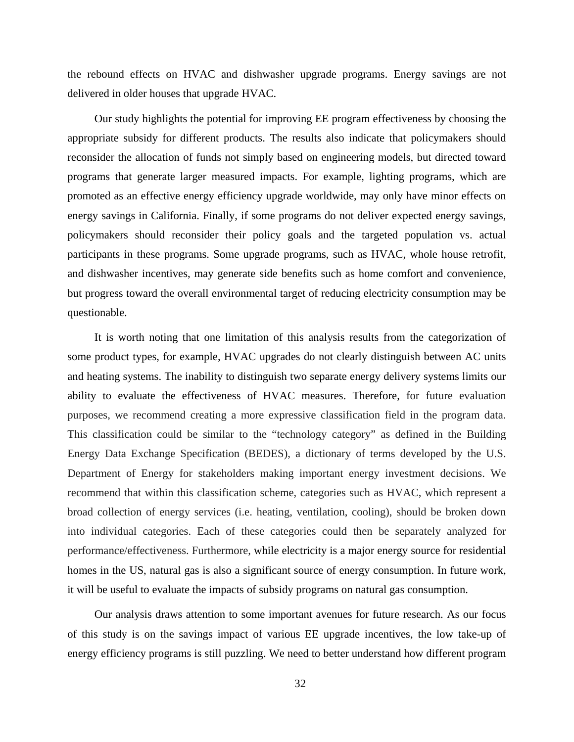the rebound effects on HVAC and dishwasher upgrade programs. Energy savings are not delivered in older houses that upgrade HVAC.

Our study highlights the potential for improving EE program effectiveness by choosing the appropriate subsidy for different products. The results also indicate that policymakers should reconsider the allocation of funds not simply based on engineering models, but directed toward programs that generate larger measured impacts. For example, lighting programs, which are promoted as an effective energy efficiency upgrade worldwide, may only have minor effects on energy savings in California. Finally, if some programs do not deliver expected energy savings, policymakers should reconsider their policy goals and the targeted population vs. actual participants in these programs. Some upgrade programs, such as HVAC, whole house retrofit, and dishwasher incentives, may generate side benefits such as home comfort and convenience, but progress toward the overall environmental target of reducing electricity consumption may be questionable.

It is worth noting that one limitation of this analysis results from the categorization of some product types, for example, HVAC upgrades do not clearly distinguish between AC units and heating systems. The inability to distinguish two separate energy delivery systems limits our ability to evaluate the effectiveness of HVAC measures. Therefore, for future evaluation purposes, we recommend creating a more expressive classification field in the program data. This classification could be similar to the "technology category" as defined in the Building Energy Data Exchange Specification (BEDES), a dictionary of terms developed by the U.S. Department of Energy for stakeholders making important energy investment decisions. We recommend that within this classification scheme, categories such as HVAC, which represent a broad collection of energy services (i.e. heating, ventilation, cooling), should be broken down into individual categories. Each of these categories could then be separately analyzed for performance/effectiveness. Furthermore, while electricity is a major energy source for residential homes in the US, natural gas is also a significant source of energy consumption. In future work, it will be useful to evaluate the impacts of subsidy programs on natural gas consumption.

Our analysis draws attention to some important avenues for future research. As our focus of this study is on the savings impact of various EE upgrade incentives, the low take-up of energy efficiency programs is still puzzling. We need to better understand how different program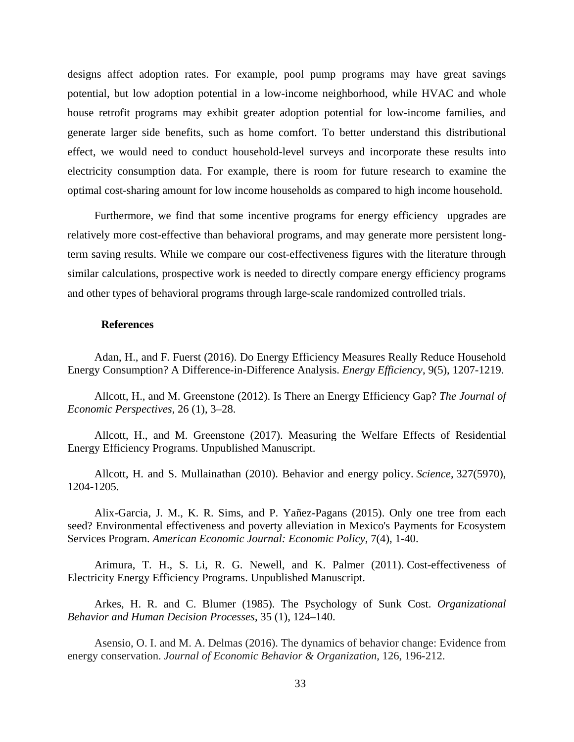designs affect adoption rates. For example, pool pump programs may have great savings potential, but low adoption potential in a low-income neighborhood, while HVAC and whole house retrofit programs may exhibit greater adoption potential for low-income families, and generate larger side benefits, such as home comfort. To better understand this distributional effect, we would need to conduct household-level surveys and incorporate these results into electricity consumption data. For example, there is room for future research to examine the optimal cost-sharing amount for low income households as compared to high income household.

Furthermore, we find that some incentive programs for energy efficiency upgrades are relatively more cost-effective than behavioral programs, and may generate more persistent longterm saving results. While we compare our cost-effectiveness figures with the literature through similar calculations, prospective work is needed to directly compare energy efficiency programs and other types of behavioral programs through large-scale randomized controlled trials.

## **References**

Adan, H., and F. Fuerst (2016). Do Energy Efficiency Measures Really Reduce Household Energy Consumption? A Difference-in-Difference Analysis. *Energy Efficiency*, 9(5), 1207-1219.

Allcott, H., and M. Greenstone (2012). Is There an Energy Efficiency Gap? *The Journal of Economic Perspectives*, 26 (1), 3–28.

Allcott, H., and M. Greenstone (2017). Measuring the Welfare Effects of Residential Energy Efficiency Programs. Unpublished Manuscript.

Allcott, H. and S. Mullainathan (2010). Behavior and energy policy. *Science*, 327(5970), 1204-1205.

Alix-Garcia, J. M., K. R. Sims, and P. Yañez-Pagans (2015). Only one tree from each seed? Environmental effectiveness and poverty alleviation in Mexico's Payments for Ecosystem Services Program. *American Economic Journal: Economic Policy*, 7(4), 1-40.

Arimura, T. H., S. Li, R. G. Newell, and K. Palmer (2011). Cost-effectiveness of Electricity Energy Efficiency Programs. Unpublished Manuscript.

Arkes, H. R. and C. Blumer (1985). The Psychology of Sunk Cost. *Organizational Behavior and Human Decision Processes*, 35 (1), 124–140.

Asensio, O. I. and M. A. Delmas (2016). The dynamics of behavior change: Evidence from energy conservation. *Journal of Economic Behavior & Organization*, 126, 196-212.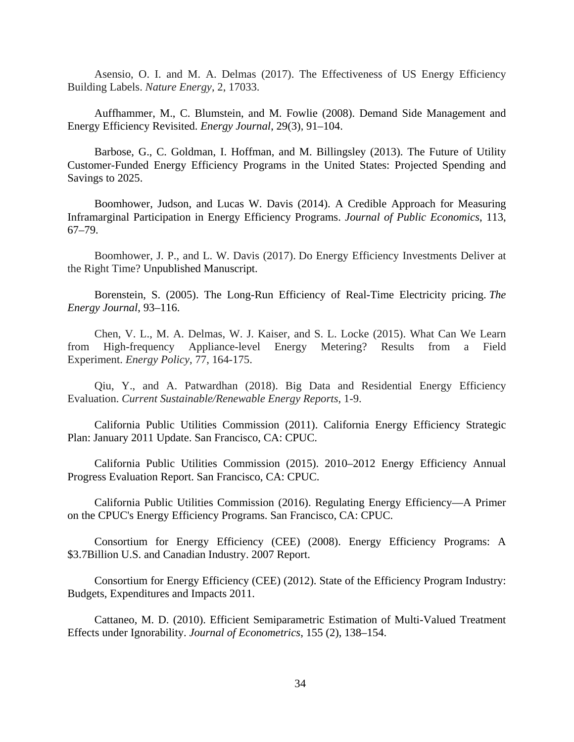Asensio, O. I. and M. A. Delmas (2017). The Effectiveness of US Energy Efficiency Building Labels. *Nature Energy*, 2, 17033.

Auffhammer, M., C. Blumstein, and M. Fowlie (2008). Demand Side Management and Energy Efficiency Revisited. *Energy Journal*, 29(3), 91–104.

Barbose, G., C. Goldman, I. Hoffman, and M. Billingsley (2013). The Future of Utility Customer-Funded Energy Efficiency Programs in the United States: Projected Spending and Savings to 2025.

Boomhower, Judson, and Lucas W. Davis (2014). A Credible Approach for Measuring Inframarginal Participation in Energy Efficiency Programs. *Journal of Public Economics*, 113, 67–79.

Boomhower, J. P., and L. W. Davis (2017). Do Energy Efficiency Investments Deliver at the Right Time? Unpublished Manuscript.

Borenstein, S. (2005). The Long-Run Efficiency of Real-Time Electricity pricing. *The Energy Journal*, 93–116.

Chen, V. L., M. A. Delmas, W. J. Kaiser, and S. L. Locke (2015). What Can We Learn from High-frequency Appliance-level Energy Metering? Results from a Field Experiment. *Energy Policy*, 77, 164-175.

Qiu, Y., and A. Patwardhan (2018). Big Data and Residential Energy Efficiency Evaluation. *Current Sustainable/Renewable Energy Reports*, 1-9.

California Public Utilities Commission (2011). California Energy Efficiency Strategic Plan: January 2011 Update. San Francisco, CA: CPUC.

California Public Utilities Commission (2015). 2010–2012 Energy Efficiency Annual Progress Evaluation Report. San Francisco, CA: CPUC.

California Public Utilities Commission (2016). Regulating Energy Efficiency—A Primer on the CPUC's Energy Efficiency Programs. San Francisco, CA: CPUC.

Consortium for Energy Efficiency (CEE) (2008). Energy Efficiency Programs: A \$3.7Billion U.S. and Canadian Industry. 2007 Report.

Consortium for Energy Efficiency (CEE) (2012). State of the Efficiency Program Industry: Budgets, Expenditures and Impacts 2011.

Cattaneo, M. D. (2010). Efficient Semiparametric Estimation of Multi-Valued Treatment Effects under Ignorability. *Journal of Econometrics*, 155 (2), 138–154.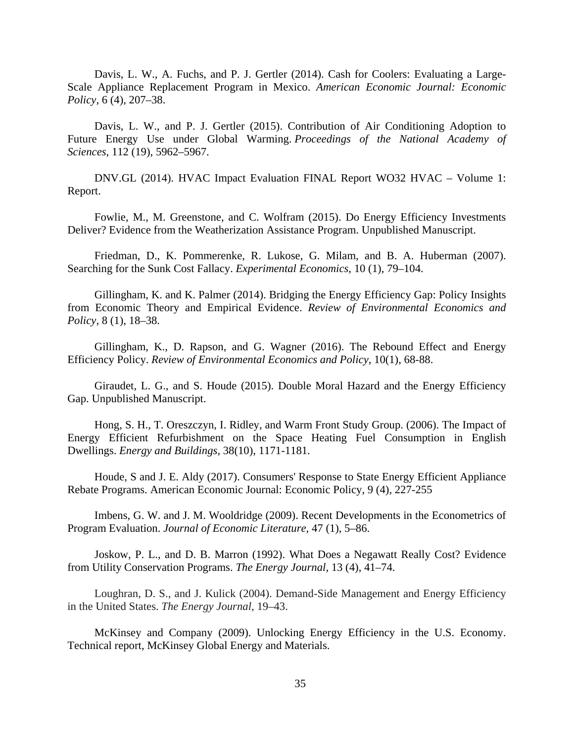Davis, L. W., A. Fuchs, and P. J. Gertler (2014). Cash for Coolers: Evaluating a Large-Scale Appliance Replacement Program in Mexico. *American Economic Journal: Economic Policy*, 6 (4), 207–38.

Davis, L. W., and P. J. Gertler (2015). Contribution of Air Conditioning Adoption to Future Energy Use under Global Warming. *Proceedings of the National Academy of Sciences*, 112 (19), 5962–5967.

DNV.GL (2014). HVAC Impact Evaluation FINAL Report WO32 HVAC – Volume 1: Report.

Fowlie, M., M. Greenstone, and C. Wolfram (2015). Do Energy Efficiency Investments Deliver? Evidence from the Weatherization Assistance Program. Unpublished Manuscript.

Friedman, D., K. Pommerenke, R. Lukose, G. Milam, and B. A. Huberman (2007). Searching for the Sunk Cost Fallacy. *Experimental Economics*, 10 (1), 79–104.

Gillingham, K. and K. Palmer (2014). Bridging the Energy Efficiency Gap: Policy Insights from Economic Theory and Empirical Evidence. *Review of Environmental Economics and Policy*, 8 (1), 18–38.

Gillingham, K., D. Rapson, and G. Wagner (2016). The Rebound Effect and Energy Efficiency Policy. *Review of Environmental Economics and Policy*, 10(1), 68-88.

Giraudet, L. G., and S. Houde (2015). Double Moral Hazard and the Energy Efficiency Gap. Unpublished Manuscript.

Hong, S. H., T. Oreszczyn, I. Ridley, and Warm Front Study Group. (2006). The Impact of Energy Efficient Refurbishment on the Space Heating Fuel Consumption in English Dwellings. *Energy and Buildings*, 38(10), 1171-1181.

Houde, S and J. E. Aldy (2017). Consumers' Response to State Energy Efficient Appliance Rebate Programs. American Economic Journal: Economic Policy, 9 (4), 227-255

Imbens, G. W. and J. M. Wooldridge (2009). Recent Developments in the Econometrics of Program Evaluation. *Journal of Economic Literature,* 47 (1), 5–86.

Joskow, P. L., and D. B. Marron (1992). What Does a Negawatt Really Cost? Evidence from Utility Conservation Programs. *The Energy Journal,* 13 (4), 41–74.

Loughran, D. S., and J. Kulick (2004). Demand-Side Management and Energy Efficiency in the United States. *The Energy Journal*, 19–43.

McKinsey and Company (2009). Unlocking Energy Efficiency in the U.S. Economy. Technical report, McKinsey Global Energy and Materials.